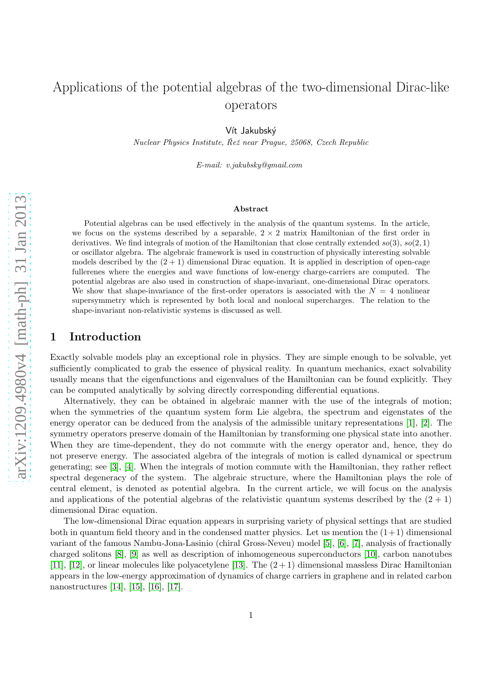# Applications of the potential algebras of the two-dimensional Dirac-like operators

Vít Jakubský

*Nuclear Physics Institute, Reˇz near Prague, 25068, Czech Republic ˇ*

*E-mail: v.jakubsky@gmail.com*

#### Abstract

Potential algebras can be used effectively in the analysis of the quantum systems. In the article, we focus on the systems described by a separable,  $2 \times 2$  matrix Hamiltonian of the first order in derivatives. We find integrals of motion of the Hamiltonian that close centrally extended  $so(3)$ ,  $so(2, 1)$ or oscillator algebra. The algebraic framework is used in construction of physically interesting solvable models described by the  $(2 + 1)$  dimensional Dirac equation. It is applied in description of open-cage fullerenes where the energies and wave functions of low-energy charge-carriers are computed. The potential algebras are also used in construction of shape-invariant, one-dimensional Dirac operators. We show that shape-invariance of the first-order operators is associated with the  $N = 4$  nonlinear supersymmetry which is represented by both local and nonlocal supercharges. The relation to the shape-invariant non-relativistic systems is discussed as well.

## 1 Introduction

Exactly solvable models play an exceptional role in physics. They are simple enough to be solvable, yet sufficiently complicated to grab the essence of physical reality. In quantum mechanics, exact solvability usually means that the eigenfunctions and eigenvalues of the Hamiltonian can be found explicitly. They can be computed analytically by solving directly corresponding differential equations.

Alternatively, they can be obtained in algebraic manner with the use of the integrals of motion; when the symmetries of the quantum system form Lie algebra, the spectrum and eigenstates of the energy operator can be deduced from the analysis of the admissible unitary representations [\[1\]](#page-17-0), [\[2\]](#page-17-1). The symmetry operators preserve domain of the Hamiltonian by transforming one physical state into another. When they are time-dependent, they do not commute with the energy operator and, hence, they do not preserve energy. The associated algebra of the integrals of motion is called dynamical or spectrum generating; see [\[3\]](#page-17-2), [\[4\]](#page-17-3). When the integrals of motion commute with the Hamiltonian, they rather reflect spectral degeneracy of the system. The algebraic structure, where the Hamiltonian plays the role of central element, is denoted as potential algebra. In the current article, we will focus on the analysis and applications of the potential algebras of the relativistic quantum systems described by the  $(2 + 1)$ dimensional Dirac equation.

The low-dimensional Dirac equation appears in surprising variety of physical settings that are studied both in quantum field theory and in the condensed matter physics. Let us mention the  $(1+1)$  dimensional variant of the famous Nambu-Jona-Lasinio (chiral Gross-Neveu) model [\[5\]](#page-17-4), [\[6\]](#page-17-5), [\[7\]](#page-17-6), analysis of fractionally charged solitons [\[8\]](#page-17-7), [\[9\]](#page-17-8) as well as description of inhomogeneous superconductors [\[10\]](#page-17-9), carbon nanotubes [\[11\]](#page-17-10), [\[12\]](#page-17-11), or linear molecules like polyacetylene [\[13\]](#page-17-12). The  $(2+1)$  dimensional massless Dirac Hamiltonian appears in the low-energy approximation of dynamics of charge carriers in graphene and in related carbon nanostructures [\[14\]](#page-17-13), [\[15\]](#page-17-14), [\[16\]](#page-17-15), [\[17\]](#page-18-0).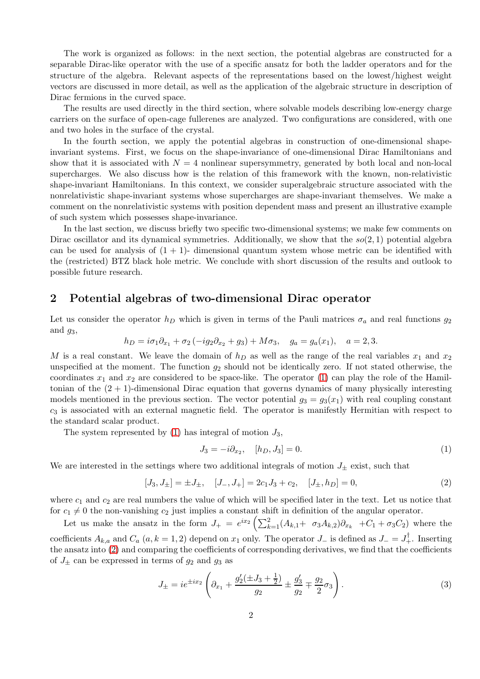The work is organized as follows: in the next section, the potential algebras are constructed for a separable Dirac-like operator with the use of a specific ansatz for both the ladder operators and for the structure of the algebra. Relevant aspects of the representations based on the lowest/highest weight vectors are discussed in more detail, as well as the application of the algebraic structure in description of Dirac fermions in the curved space.

The results are used directly in the third section, where solvable models describing low-energy charge carriers on the surface of open-cage fullerenes are analyzed. Two configurations are considered, with one and two holes in the surface of the crystal.

In the fourth section, we apply the potential algebras in construction of one-dimensional shapeinvariant systems. First, we focus on the shape-invariance of one-dimensional Dirac Hamiltonians and show that it is associated with  $N = 4$  nonlinear supersymmetry, generated by both local and non-local supercharges. We also discuss how is the relation of this framework with the known, non-relativistic shape-invariant Hamiltonians. In this context, we consider superalgebraic structure associated with the nonrelativistic shape-invariant systems whose supercharges are shape-invariant themselves. We make a comment on the nonrelativistic systems with position dependent mass and present an illustrative example of such system which possesses shape-invariance.

In the last section, we discuss briefly two specific two-dimensional systems; we make few comments on Dirac oscillator and its dynamical symmetries. Additionally, we show that the  $so(2,1)$  potential algebra can be used for analysis of  $(1 + 1)$ - dimensional quantum system whose metric can be identified with the (restricted) BTZ black hole metric. We conclude with short discussion of the results and outlook to possible future research.

## 2 Potential algebras of two-dimensional Dirac operator

Let us consider the operator  $h_D$  which is given in terms of the Pauli matrices  $\sigma_a$  and real functions  $g_2$ and  $g_3$ ,

$$
h_D = i\sigma_1 \partial_{x_1} + \sigma_2 (-ig_2 \partial_{x_2} + g_3) + M \sigma_3, \quad g_a = g_a(x_1), \quad a = 2, 3.
$$

M is a real constant. We leave the domain of  $h<sub>D</sub>$  as well as the range of the real variables  $x<sub>1</sub>$  and  $x<sub>2</sub>$ unspecified at the moment. The function  $g_2$  should not be identically zero. If not stated otherwise, the coordinates  $x_1$  and  $x_2$  are considered to be space-like. The operator [\(1\)](#page-1-0) can play the role of the Hamiltonian of the  $(2 + 1)$ -dimensional Dirac equation that governs dynamics of many physically interesting models mentioned in the previous section. The vector potential  $g_3 = g_3(x_1)$  with real coupling constant  $c_3$  is associated with an external magnetic field. The operator is manifestly Hermitian with respect to the standard scalar product.

The system represented by  $(1)$  has integral of motion  $J_3$ ,

<span id="page-1-0"></span>
$$
J_3 = -i\partial_{x_2}, \quad [h_D, J_3] = 0. \tag{1}
$$

We are interested in the settings where two additional integrals of motion  $J_{\pm}$  exist, such that

<span id="page-1-1"></span>
$$
[J_3, J_{\pm}] = \pm J_{\pm}, \quad [J_{-}, J_{+}] = 2c_1J_3 + c_2, \quad [J_{\pm}, h_D] = 0,
$$
\n<sup>(2)</sup>

where  $c_1$  and  $c_2$  are real numbers the value of which will be specified later in the text. Let us notice that for  $c_1 \neq 0$  the non-vanishing  $c_2$  just implies a constant shift in definition of the angular operator.

Let us make the ansatz in the form  $J_+ = e^{ix_2} \left( \sum_{k=1}^2 (A_{k,1} + \sigma_3 A_{k,2}) \partial_{x_k} + C_1 + \sigma_3 C_2 \right)$  where the coefficients  $A_{k,a}$  and  $C_a$   $(a, k = 1, 2)$  depend on  $x_1$  only. The operator  $J_-\$  is defined as  $J_-=J_+^{\dagger}$ . Inserting the ansatz into [\(2\)](#page-1-1) and comparing the coefficients of corresponding derivatives, we find that the coefficients of  $J_{\pm}$  can be expressed in terms of  $g_2$  and  $g_3$  as

<span id="page-1-2"></span>
$$
J_{\pm} = ie^{\pm ix_2} \left( \partial_{x_1} + \frac{g_2'(\pm J_3 + \frac{1}{2})}{g_2} \pm \frac{g_3'}{g_2} \mp \frac{g_2}{2} \sigma_3 \right). \tag{3}
$$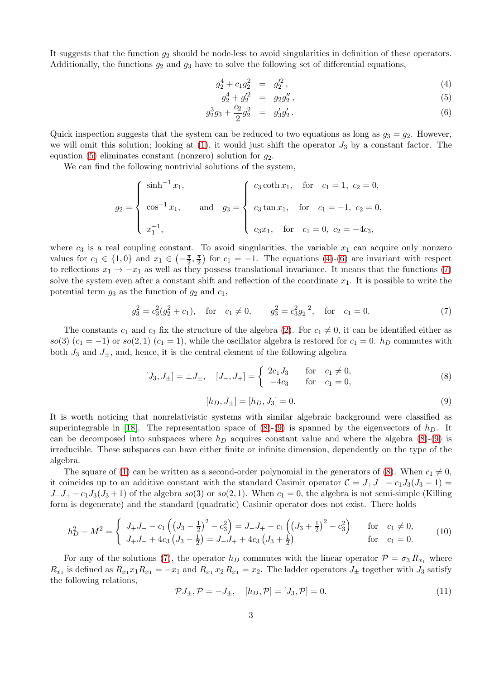It suggests that the function  $g_2$  should be node-less to avoid singularities in definition of these operators. Additionally, the functions  $g_2$  and  $g_3$  have to solve the following set of differential equations,

<span id="page-2-0"></span>
$$
g_2^4 + c_1 g_2^2 = g_2'^2, \tag{4}
$$

$$
g_2^4 + g_2^{\prime 2} = g_2 g_2^{\prime\prime}, \tag{5}
$$

$$
g_2^3 g_3 + \frac{c_2}{2} g_2^2 = g_3' g_2' \,. \tag{6}
$$

Quick inspection suggests that the system can be reduced to two equations as long as  $g_3 = g_2$ . However, we will omit this solution; looking at  $(1)$ , it would just shift the operator  $J_3$  by a constant factor. The equation [\(5\)](#page-2-0) eliminates constant (nonzero) solution for  $q_2$ .

We can find the following nontrivial solutions of the system,

$$
g_2 = \begin{cases} \sinh^{-1} x_1, \\ \cos^{-1} x_1, \\ x_1^{-1}, \end{cases} \text{ and } g_3 = \begin{cases} c_3 \coth x_1, & \text{for } c_1 = 1, c_2 = 0, \\ c_3 \tan x_1, & \text{for } c_1 = -1, c_2 = 0, \\ c_3 x_1, & \text{for } c_1 = 0, c_2 = -4c_3, \end{cases}
$$

where  $c_3$  is a real coupling constant. To avoid singularities, the variable  $x_1$  can acquire only nonzero values for  $c_1 \in \{1,0\}$  and  $x_1 \in \left(-\frac{\pi}{2}\right)$  $\frac{\pi}{2}, \frac{\pi}{2}$  $(\frac{\pi}{2})$  for  $c_1 = -1$ . The equations [\(4\)](#page-2-0)-[\(6\)](#page-2-0) are invariant with respect to reflections  $x_1 \rightarrow -x_1$  as well as they possess translational invariance. It means that the functions [\(7\)](#page-2-1) solve the system even after a constant shift and reflection of the coordinate  $x_1$ . It is possible to write the potential term  $g_3$  as the function of  $g_2$  and  $c_1$ ,

<span id="page-2-1"></span>
$$
g_3^2 = c_3^2(g_2^2 + c_1)
$$
, for  $c_1 \neq 0$ ,  $g_3^2 = c_3^2 g_2^{-2}$ , for  $c_1 = 0$ . (7)

The constants  $c_1$  and  $c_3$  fix the structure of the algebra [\(2\)](#page-1-1). For  $c_1 \neq 0$ , it can be identified either as so(3)  $(c_1 = -1)$  or so(2, 1)  $(c_1 = 1)$ , while the oscillator algebra is restored for  $c_1 = 0$ .  $h_D$  commutes with both  $J_3$  and  $J_{\pm}$ , and, hence, it is the central element of the following algebra

<span id="page-2-2"></span>
$$
[J_3, J_{\pm}] = \pm J_{\pm}, \quad [J_{-}, J_{+}] = \begin{cases} 2c_1 J_3 & \text{for } c_1 \neq 0, \\ -4c_3 & \text{for } c_1 = 0, \end{cases}
$$
 (8)

<span id="page-2-3"></span>
$$
[h_D, J_{\pm}] = [h_D, J_3] = 0. \tag{9}
$$

It is worth noticing that nonrelativistic systems with similar algebraic background were classified as superintegrable in [\[18\]](#page-18-1). The representation space of  $(8)-(9)$  $(8)-(9)$  is spanned by the eigenvectors of  $h<sub>D</sub>$ . It can be decomposed into subspaces where  $h<sub>D</sub>$  acquires constant value and where the algebra [\(8\)](#page-2-2)-[\(9\)](#page-2-3) is irreducible. These subspaces can have either finite or infinite dimension, dependently on the type of the algebra.

The square of [\(1\)](#page-1-0) can be written as a second-order polynomial in the generators of [\(8\)](#page-2-2). When  $c_1 \neq 0$ , it coincides up to an additive constant with the standard Casimir operator  $C = J_+J_- - c_1J_3(J_3 - 1)$  $J_{-}J_{+} - c_1J_3(J_3+1)$  of the algebra so(3) or so(2, 1). When  $c_1 = 0$ , the algebra is not semi-simple (Killing form is degenerate) and the standard (quadratic) Casimir operator does not exist. There holds

<span id="page-2-4"></span>
$$
h_D^2 - M^2 = \begin{cases} J_+ J_- - c_1 \left( \left( J_3 - \frac{1}{2} \right)^2 - c_3^2 \right) = J_- J_+ - c_1 \left( \left( J_3 + \frac{1}{2} \right)^2 - c_3^2 \right) & \text{for } c_1 \neq 0, \\ J_+ J_- + 4c_3 \left( J_3 - \frac{1}{2} \right) = J_- J_+ + 4c_3 \left( J_3 + \frac{1}{2} \right) & \text{for } c_1 = 0. \end{cases}
$$
(10)

For any of the solutions [\(7\)](#page-2-1), the operator  $h_D$  commutes with the linear operator  $\mathcal{P} = \sigma_3 R_{x_1}$  where  $R_{x_1}$  is defined as  $R_{x_1}x_1R_{x_1} = -x_1$  and  $R_{x_1}x_2R_{x_1} = x_2$ . The ladder operators  $J_{\pm}$  together with  $J_3$  satisfy the following relations,

<span id="page-2-5"></span>
$$
\mathcal{P}J_{\pm}, \mathcal{P} = -J_{\pm}, \quad [h_D, \mathcal{P}] = [J_3, \mathcal{P}] = 0.
$$
 (11)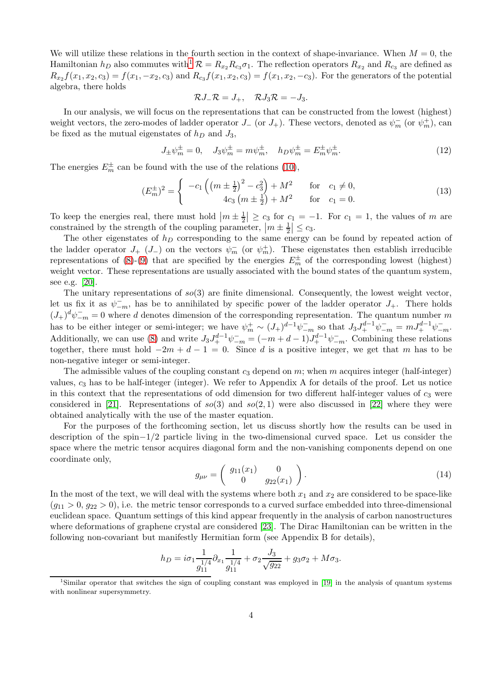We will utilize these relations in the fourth section in the context of shape-invariance. When  $M = 0$ , the Hamiltonian  $h_D$  also commutes with<sup>[1](#page-3-0)</sup>  $\mathcal{R} = R_{x_2} R_{c_3} \sigma_1$ . The reflection operators  $R_{x_2}$  and  $R_{c_3}$  are defined as  $R_{x_2}f(x_1, x_2, c_3) = f(x_1, -x_2, c_3)$  and  $R_{c_3}f(x_1, x_2, c_3) = f(x_1, x_2, -c_3)$ . For the generators of the potential algebra, there holds

$$
\mathcal{R}J_-\mathcal{R}=J_+,\quad \mathcal{R}J_3\mathcal{R}=-J_3.
$$

In our analysis, we will focus on the representations that can be constructed from the lowest (highest) weight vectors, the zero-modes of ladder operator  $J_{-}$  (or  $J_{+}$ ). These vectors, denoted as  $\psi_{m}^{-}$  (or  $\psi_{m}^{+}$ ), can be fixed as the mutual eigenstates of  $h_D$  and  $J_3$ ,

<span id="page-3-1"></span>
$$
J_{\pm}\psi_{m}^{\pm} = 0, \quad J_{3}\psi_{m}^{\pm} = m\psi_{m}^{\pm}, \quad h_{D}\psi_{m}^{\pm} = E_{m}^{\pm}\psi_{m}^{\pm}.
$$
 (12)

The energies  $E_m^{\pm}$  can be found with the use of the relations [\(10\)](#page-2-4),

<span id="page-3-2"></span>
$$
(E_m^{\pm})^2 = \begin{cases}\n-c_1 \left( \left( m \pm \frac{1}{2} \right)^2 - c_3^2 \right) + M^2 & \text{for } c_1 \neq 0, \\
4c_3 \left( m \pm \frac{1}{2} \right) + M^2 & \text{for } c_1 = 0.\n\end{cases}
$$
\n(13)

To keep the energies real, there must hold  $|m \pm \frac{1}{2}| \ge c_3$  for  $c_1 = -1$ . For  $c_1 = 1$ , the values of m are constrained by the strength of the coupling parameter,  $|m \pm \frac{1}{2}| \leq c_3$ .

The other eigenstates of  $h_D$  corresponding to the same energy can be found by repeated action of the ladder operator  $J_{+}$  ( $J_{-}$ ) on the vectors  $\psi_{m}^{-}$  (or  $\psi_{m}^{+}$ ). These eigenstates then establish irreducible representations of [\(8\)](#page-2-2)-[\(9\)](#page-2-3) that are specified by the energies  $E_m^{\pm}$  of the corresponding lowest (highest) weight vector. These representations are usually associated with the bound states of the quantum system, see e.g. [\[20\]](#page-18-2).

The unitary representations of  $so(3)$  are finite dimensional. Consequently, the lowest weight vector, let us fix it as  $\psi_{-m}^-$ , has be to annihilated by specific power of the ladder operator  $J_+$ . There holds  $(J_+)^d \psi^-_{-m} = 0$  where d denotes dimension of the corresponding representation. The quantum number m has to be either integer or semi-integer; we have  $\psi_m^+ \sim (J_+)^{d-1} \psi_{-m}^-$  so that  $J_3 J_+^{d-1} \psi_{-m}^- = m J_+^{d-1} \psi_{-m}^-$ . Additionally, we can use [\(8\)](#page-2-2) and write  $J_3 J_+^{d-1} \psi_{-m}^- = (-m+d-1)J_+^{d-1} \psi_{-m}^-$ . Combining these relations together, there must hold  $-2m + d - 1 = 0$ . Since d is a positive integer, we get that m has to be non-negative integer or semi-integer.

The admissible values of the coupling constant  $c_3$  depend on m; when m acquires integer (half-integer) values,  $c_3$  has to be half-integer (integer). We refer to Appendix A for details of the proof. Let us notice in this context that the representations of odd dimension for two different half-integer values of  $c_3$  were considered in [\[21\]](#page-18-3). Representations of  $so(3)$  and  $so(2, 1)$  were also discussed in [\[22\]](#page-18-4) where they were obtained analytically with the use of the master equation.

For the purposes of the forthcoming section, let us discuss shortly how the results can be used in description of the spin−1/2 particle living in the two-dimensional curved space. Let us consider the space where the metric tensor acquires diagonal form and the non-vanishing components depend on one coordinate only,

<span id="page-3-3"></span>
$$
g_{\mu\nu} = \begin{pmatrix} g_{11}(x_1) & 0 \\ 0 & g_{22}(x_1) \end{pmatrix} . \tag{14}
$$

In the most of the text, we will deal with the systems where both  $x_1$  and  $x_2$  are considered to be space-like  $(g_{11} > 0, g_{22} > 0)$ , i.e. the metric tensor corresponds to a curved surface embedded into three-dimensional euclidean space. Quantum settings of this kind appear frequently in the analysis of carbon nanostructures where deformations of graphene crystal are considered [\[23\]](#page-18-5). The Dirac Hamiltonian can be written in the following non-covariant but manifestly Hermitian form (see Appendix B for details),

$$
h_D = i\sigma_1 \frac{1}{g_{11}^{1/4}} \partial_{x_1} \frac{1}{g_{11}^{1/4}} + \sigma_2 \frac{J_3}{\sqrt{g_{22}}} + g_3 \sigma_2 + M \sigma_3.
$$

<span id="page-3-0"></span><sup>1</sup>Similar operator that switches the sign of coupling constant was employed in [\[19\]](#page-18-6) in the analysis of quantum systems with nonlinear supersymmetry.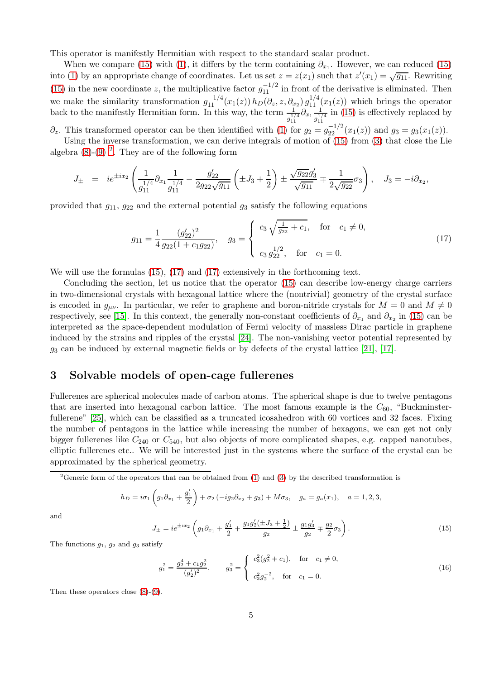This operator is manifestly Hermitian with respect to the standard scalar product.

When we compare [\(15\)](#page-4-0) with [\(1\)](#page-1-0), it differs by the term containing  $\partial_{x_1}$ . However, we can reduced (15) into [\(1\)](#page-1-0) by an appropriate change of coordinates. Let us set  $z = z(x_1)$  such that  $z'(x_1) = \sqrt{g_{11}}$ . Rewriting [\(15\)](#page-4-0) in the new coordinate z, the multiplicative factor  $g_{11}^{-1/2}$  in front of the derivative is eliminated. Then we make the similarity transformation  $g_{11}^{-1/4}(x_1(z)) h_D(\partial_z, z, \partial_{x_2}) g_{11}^{1/4}(x_1(z))$  which brings the operator back to the manifestly Hermitian form. In this way, the term  $\frac{1}{g_{11}^{1/4}} \partial_{x_1} \frac{1}{g_{11}^{1/4}}$  $\frac{1}{g_{11}^{1/4}}$  in [\(15\)](#page-4-0) is effectively replaced by

 $\partial_z$ . This transformed operator can be then identified with [\(1\)](#page-1-0) for  $g_2 = g_{22}^{-1/2}(x_1(z))$  and  $g_3 = g_3(x_1(z))$ . Using the inverse transformation, we can derive integrals of motion of [\(15\)](#page-4-0) from [\(3\)](#page-1-2) that close the Lie

algebra  $(8)-(9)$  $(8)-(9)$ <sup>[2](#page-4-1)</sup>. They are of the following form

$$
J_{\pm} = ie^{\pm ix_2} \left( \frac{1}{g_{11}^{1/4}} \partial_{x_1} \frac{1}{g_{11}^{1/4}} - \frac{g_{22}'}{2g_{22}\sqrt{g_{11}}} \left( \pm J_3 + \frac{1}{2} \right) \pm \frac{\sqrt{g_{22}}g_3'}{\sqrt{g_{11}}} \mp \frac{1}{2\sqrt{g_{22}}} \sigma_3 \right), \quad J_3 = -i \partial_{x_2},
$$

provided that  $g_{11}$ ,  $g_{22}$  and the external potential  $g_3$  satisfy the following equations

<span id="page-4-2"></span>
$$
g_{11} = \frac{1}{4} \frac{(g'_{22})^2}{g_{22}(1 + c_1 g_{22})}, \quad g_3 = \begin{cases} c_3 \sqrt{\frac{1}{g_{22}} + c_1}, & \text{for } c_1 \neq 0, \\ c_3 g_{22}^{1/2}, & \text{for } c_1 = 0. \end{cases}
$$
(17)

We will use the formulas [\(15\)](#page-4-0), [\(17\)](#page-4-2) and [\(17\)](#page-4-2) extensively in the forthcoming text.

Concluding the section, let us notice that the operator [\(15\)](#page-4-0) can describe low-energy charge carriers in two-dimensional crystals with hexagonal lattice where the (nontrivial) geometry of the crystal surface is encoded in  $g_{\mu\nu}$ . In particular, we refer to graphene and boron-nitride crystals for  $M = 0$  and  $M \neq 0$ respectively, see [\[15\]](#page-17-14). In this context, the generally non-constant coefficients of  $\partial_{x_1}$  and  $\partial_{x_2}$  in [\(15\)](#page-4-0) can be interpreted as the space-dependent modulation of Fermi velocity of massless Dirac particle in graphene induced by the strains and ripples of the crystal [\[24\]](#page-18-7). The non-vanishing vector potential represented by  $g_3$  can be induced by external magnetic fields or by defects of the crystal lattice [\[21\]](#page-18-3), [\[17\]](#page-18-0).

## <span id="page-4-3"></span>3 Solvable models of open-cage fullerenes

Fullerenes are spherical molecules made of carbon atoms. The spherical shape is due to twelve pentagons that are inserted into hexagonal carbon lattice. The most famous example is the  $C_{60}$ , "Buckminster-fullerene" [\[25\]](#page-18-8), which can be classified as a truncated icosahedron with 60 vortices and 32 faces. Fixing the number of pentagons in the lattice while increasing the number of hexagons, we can get not only bigger fullerenes like  $C_{240}$  or  $C_{540}$ , but also objects of more complicated shapes, e.g. capped nanotubes, elliptic fullerenes etc.. We will be interested just in the systems where the surface of the crystal can be approximated by the spherical geometry.

<span id="page-4-1"></span><sup>2</sup>Generic form of the operators that can be obtained from [\(1\)](#page-1-0) and [\(3\)](#page-1-2) by the described transformation is

$$
h_D = i\sigma_1 \left( g_1 \partial_{x_1} + \frac{g'_1}{2} \right) + \sigma_2 \left( -ig_2 \partial_{x_2} + g_3 \right) + M\sigma_3, \quad g_a = g_a(x_1), \quad a = 1, 2, 3,
$$

and

<span id="page-4-0"></span>
$$
J_{\pm} = ie^{\pm ix_2} \left( g_1 \partial_{x_1} + \frac{g_1'}{2} + \frac{g_1 g_2'(\pm J_3 + \frac{1}{2})}{g_2} \pm \frac{g_1 g_3'}{g_2} \mp \frac{g_2}{2} \sigma_3 \right). \tag{15}
$$

The functions  $g_1, g_2$  and  $g_3$  satisfy

$$
g_1^2 = \frac{g_2^4 + c_1 g_2^2}{(g_2')^2}, \qquad g_3^2 = \begin{cases} c_3^2 (g_2^2 + c_1), & \text{for } c_1 \neq 0, \\ c_3^2 g_2^{-2}, & \text{for } c_1 = 0. \end{cases}
$$
(16)

Then these operators close [\(8\)](#page-2-2)-[\(9\)](#page-2-3).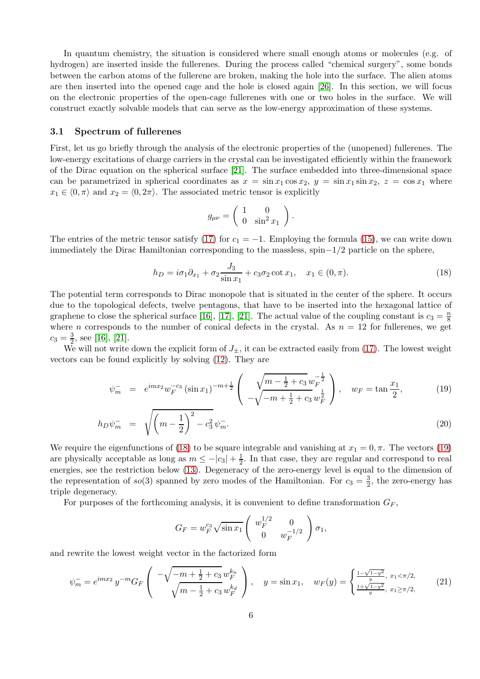In quantum chemistry, the situation is considered where small enough atoms or molecules (e.g. of hydrogen) are inserted inside the fullerenes. During the process called "chemical surgery", some bonds between the carbon atoms of the fullerene are broken, making the hole into the surface. The alien atoms are then inserted into the opened cage and the hole is closed again [\[26\]](#page-18-9). In this section, we will focus on the electronic properties of the open-cage fullerenes with one or two holes in the surface. We will construct exactly solvable models that can serve as the low-energy approximation of these systems.

#### 3.1 Spectrum of fullerenes

First, let us go briefly through the analysis of the electronic properties of the (unopened) fullerenes. The low-energy excitations of charge carriers in the crystal can be investigated efficiently within the framework of the Dirac equation on the spherical surface [\[21\]](#page-18-3). The surface embedded into three-dimensional space can be parametrized in spherical coordinates as  $x = \sin x_1 \cos x_2$ ,  $y = \sin x_1 \sin x_2$ ,  $z = \cos x_1$  where  $x_1 \in (0, \pi)$  and  $x_2 = (0, 2\pi)$ . The associated metric tensor is explicitly

$$
g_{\mu\nu} = \left(\begin{array}{cc} 1 & 0 \\ 0 & \sin^2 x_1 \end{array}\right).
$$

The entries of the metric tensor satisfy [\(17\)](#page-4-2) for  $c_1 = -1$ . Employing the formula [\(15\)](#page-4-0), we can write down immediately the Dirac Hamiltonian corresponding to the massless, spin−1/2 particle on the sphere,

<span id="page-5-0"></span>
$$
h_D = i\sigma_1 \partial_{x_1} + \sigma_2 \frac{J_3}{\sin x_1} + c_3 \sigma_2 \cot x_1, \quad x_1 \in (0, \pi). \tag{18}
$$

The potential term corresponds to Dirac monopole that is situated in the center of the sphere. It occurs due to the topological defects, twelve pentagons, that have to be inserted into the hexagonal lattice of graphene to close the spherical surface [\[16\]](#page-17-15), [\[17\]](#page-18-0), [\[21\]](#page-18-3). The actual value of the coupling constant is  $c_3 = \frac{n}{8}$ 8 where *n* corresponds to the number of conical defects in the crystal. As  $n = 12$  for fullerenes, we get  $c_3 = \frac{3}{2}$  $\frac{3}{2}$ , see [\[16\]](#page-17-15), [\[21\]](#page-18-3).

We will not write down the explicit form of  $J_{\pm}$ , it can be extracted easily from [\(17\)](#page-4-2). The lowest weight vectors can be found explicitly by solving [\(12\)](#page-3-1). They are

<span id="page-5-1"></span>
$$
\psi_m^- = e^{imx_2} w_F^{-c_3} (\sin x_1)^{-m+\frac{1}{2}} \left( \sqrt{\frac{m-\frac{1}{2}+c_3 w_F^{-\frac{1}{2}}}{-\sqrt{-m+\frac{1}{2}+c_3 w_F^{\frac{1}{2}}}} \right), \quad w_F = \tan \frac{x_1}{2}, \tag{19}
$$

$$
h_D \psi_m^- = \sqrt{\left(m - \frac{1}{2}\right)^2 - c_3^2} \psi_m^-.
$$
\n(20)

We require the eigenfunctions of [\(18\)](#page-5-0) to be square integrable and vanishing at  $x_1 = 0, \pi$ . The vectors [\(19\)](#page-5-1) are physically acceptable as long as  $m \le -|c_3| + \frac{1}{2}$ . In that case, they are regular and correspond to real energies, see the restriction below [\(13\)](#page-3-2). Degeneracy of the zero-energy level is equal to the dimension of the representation of  $so(3)$  spanned by zero modes of the Hamiltonian. For  $c_3 = \frac{3}{2}$ , the zero-energy has triple degeneracy.

For purposes of the forthcoming analysis, it is convenient to define transformation  $G_F$ ,

$$
G_F = w_F^{c_3} \sqrt{\sin x_1} \begin{pmatrix} w_F^{1/2} & 0 \\ 0 & w_F^{-1/2} \end{pmatrix} \sigma_1,
$$

and rewrite the lowest weight vector in the factorized form

<span id="page-5-2"></span>
$$
\psi_m^- = e^{imx_2} y^{-m} G_F \left( \frac{-\sqrt{-m + \frac{1}{2} + c_3} w_F^{k_u}}{\sqrt{m - \frac{1}{2} + c_3} w_F^{k_d}} \right), \quad y = \sin x_1, \quad w_F(y) = \begin{cases} \frac{1 - \sqrt{1 - y^2}}{y}, \ x_1 < \pi/2, \\ \frac{1 + \sqrt{1 - y^2}}{y}, \ x_1 \ge \pi/2, \end{cases} \tag{21}
$$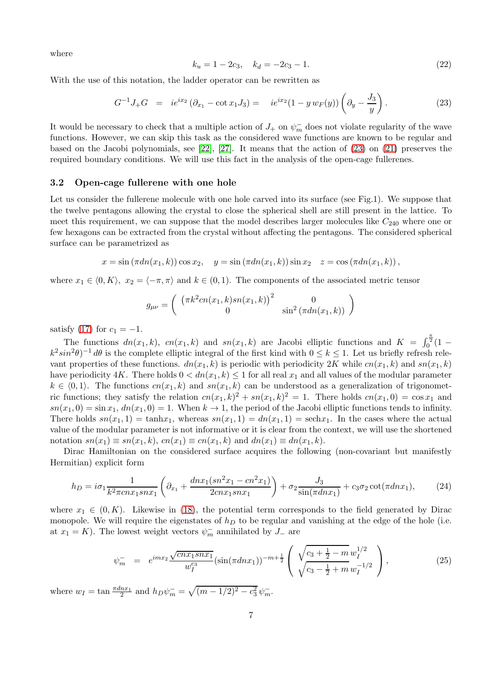where

<span id="page-6-2"></span>
$$
k_u = 1 - 2c_3, \quad k_d = -2c_3 - 1. \tag{22}
$$

With the use of this notation, the ladder operator can be rewritten as

<span id="page-6-0"></span>
$$
G^{-1}J_{+}G = ie^{ix_{2}} (\partial_{x_{1}} - \cot x_{1}J_{3}) = ie^{ix_{2}}(1 - y w_{F}(y))\left(\partial_{y} - \frac{J_{3}}{y}\right).
$$
\n(23)

It would be necessary to check that a multiple action of  $J_+$  on  $\psi_m^-$  does not violate regularity of the wave functions. However, we can skip this task as the considered wave functions are known to be regular and based on the Jacobi polynomials, see [\[22\]](#page-18-4), [\[27\]](#page-18-10). It means that the action of [\(23\)](#page-6-0) on [\(21\)](#page-5-2) preserves the required boundary conditions. We will use this fact in the analysis of the open-cage fullerenes.

#### 3.2 Open-cage fullerene with one hole

Let us consider the fullerene molecule with one hole carved into its surface (see Fig.1). We suppose that the twelve pentagons allowing the crystal to close the spherical shell are still present in the lattice. To meet this requirement, we can suppose that the model describes larger molecules like  $C_{240}$  where one or few hexagons can be extracted from the crystal without affecting the pentagons. The considered spherical surface can be parametrized as

$$
x = \sin(\pi d n(x_1, k)) \cos x_2
$$
,  $y = \sin(\pi d n(x_1, k)) \sin x_2$ ,  $z = \cos(\pi d n(x_1, k))$ ,

where  $x_1 \in (0, K), x_2 = \langle -\pi, \pi \rangle$  and  $k \in (0, 1)$ . The components of the associated metric tensor

$$
g_{\mu\nu} = \begin{pmatrix} (\pi k^2 cn(x_1, k) sn(x_1, k))^2 & 0\\ 0 & \sin^2 (\pi dn(x_1, k)) \end{pmatrix}
$$

satisfy [\(17\)](#page-4-2) for  $c_1 = -1$ .

The functions  $dn(x_1, k)$ ,  $cn(x_1, k)$  and  $sn(x_1, k)$  are Jacobi elliptic functions and  $K = \int_0^{\frac{\pi}{2}} (1$  $k^2 \sin^2 \theta$ <sup>-1</sup> d $\theta$  is the complete elliptic integral of the first kind with  $0 \le k \le 1$ . Let us briefly refresh relevant properties of these functions.  $dn(x_1, k)$  is periodic with periodicity 2K while  $cn(x_1, k)$  and  $sn(x_1, k)$ have periodicity 4K. There holds  $0 < dn(x_1, k) \le 1$  for all real  $x_1$  and all values of the modular parameter  $k \in \langle 0, 1 \rangle$ . The functions  $cn(x_1, k)$  and  $sn(x_1, k)$  can be understood as a generalization of trigonometric functions; they satisfy the relation  $cn(x_1, k)^2 + sn(x_1, k)^2 = 1$ . There holds  $cn(x_1, 0) = \cos x_1$  and  $sn(x_1, 0) = \sin x_1, dn(x_1, 0) = 1.$  When  $k \to 1$ , the period of the Jacobi elliptic functions tends to infinity. There holds  $sn(x_1, 1) = \tanh x_1$ , whereas  $sn(x_1, 1) = dn(x_1, 1) = \text{sech}x_1$ . In the cases where the actual value of the modular parameter is not informative or it is clear from the context, we will use the shortened notation  $sn(x_1) \equiv sn(x_1, k), cn(x_1) \equiv cn(x_1, k)$  and  $dn(x_1) \equiv dn(x_1, k)$ .

Dirac Hamiltonian on the considered surface acquires the following (non-covariant but manifestly Hermitian) explicit form

$$
h_D = i\sigma_1 \frac{1}{k^2 \pi c n x_1 s n x_1} \left( \partial_{x_1} + \frac{d n x_1 (s n^2 x_1 - c n^2 x_1)}{2 c n x_1 s n x_1} \right) + \sigma_2 \frac{J_3}{\sin(\pi d n x_1)} + c_3 \sigma_2 \cot(\pi d n x_1),\tag{24}
$$

where  $x_1 \in (0, K)$ . Likewise in [\(18\)](#page-5-0), the potential term corresponds to the field generated by Dirac monopole. We will require the eigenstates of  $h<sub>D</sub>$  to be regular and vanishing at the edge of the hole (i.e. at  $x_1 = K$ ). The lowest weight vectors  $\psi_m^-$  annihilated by  $J_-$  are

<span id="page-6-1"></span>
$$
\psi_m^- = e^{imx_2} \frac{\sqrt{cnx_1snx_1}}{w_I^{c_3}} (\sin(\pi dnx_1))^{-m+\frac{1}{2}} \left( \sqrt{\frac{c_3+\frac{1}{2}-m}{c_3-\frac{1}{2}+m}} \frac{w_I^{1/2}}{w_I^{-1/2}} \right), \tag{25}
$$

where  $w_I = \tan \frac{\pi d n x_1}{2}$  and  $h_D \psi_m^- = \sqrt{(m - 1/2)^2 - c_3^2} \psi_m^-$ .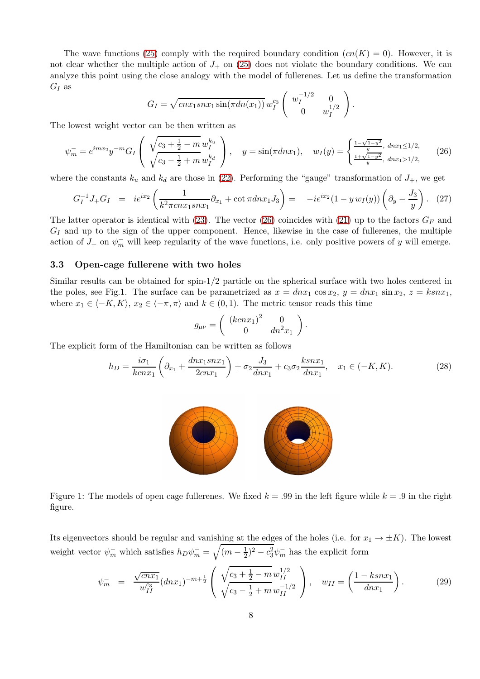The wave functions [\(25\)](#page-6-1) comply with the required boundary condition  $(cn(K) = 0)$ . However, it is not clear whether the multiple action of  $J_+$  on [\(25\)](#page-6-1) does not violate the boundary conditions. We can analyze this point using the close analogy with the model of fullerenes. Let us define the transformation  $G_I$  as

$$
G_I = \sqrt{cnx_1snx_1\sin(\pi dn(x_1))} w_I^{c_3} \begin{pmatrix} w_I^{-1/2} & 0 \\ 0 & w_I^{1/2} \end{pmatrix}.
$$

The lowest weight vector can be then written as

<span id="page-7-0"></span>
$$
\psi_m^- = e^{imx_2} y^{-m} G_I \left( \sqrt{\frac{c_3 + \frac{1}{2} - m w_I^{k_u}}{\sqrt{c_3 - \frac{1}{2} + m w_I^{k_d}}}} \right), \quad y = \sin(\pi d n x_1), \quad w_I(y) = \begin{cases} \frac{1 - \sqrt{1 - y^2}}{y}, \frac{dn x_1 \le 1/2}{y}, \\ \frac{1 + \sqrt{1 - y^2}}{y}, \frac{dn x_1 > 1/2}{z}, \end{cases} (26)
$$

where the constants  $k_u$  and  $k_d$  are those in [\(22\)](#page-6-2). Performing the "gauge" transformation of  $J_+$ , we get

<span id="page-7-1"></span>
$$
G_I^{-1} J_+ G_I = i e^{ix_2} \left( \frac{1}{k^2 \pi c n x_1 s n x_1} \partial_{x_1} + \cot \pi d n x_1 J_3 \right) = -i e^{ix_2} (1 - y w_I(y)) \left( \partial_y - \frac{J_3}{y} \right). \tag{27}
$$

The latter operator is identical with [\(23\)](#page-6-0). The vector [\(26\)](#page-7-0) coincides with [\(21\)](#page-5-2) up to the factors  $G_F$  and  $G_I$  and up to the sign of the upper component. Hence, likewise in the case of fullerenes, the multiple action of  $J_+$  on  $\psi_m^-$  will keep regularity of the wave functions, i.e. only positive powers of y will emerge.

### 3.3 Open-cage fullerene with two holes

Similar results can be obtained for spin-1/2 particle on the spherical surface with two holes centered in the poles, see Fig.1. The surface can be parametrized as  $x = dnx_1 \cos x_2$ ,  $y = dnx_1 \sin x_2$ ,  $z = ksnx_1$ , where  $x_1 \in \langle -K, K \rangle$ ,  $x_2 \in \langle -\pi, \pi \rangle$  and  $k \in (0, 1)$ . The metric tensor reads this time

$$
g_{\mu\nu} = \begin{pmatrix} (kcnx_1)^2 & 0 \\ 0 & dn^2x_1 \end{pmatrix}.
$$

The explicit form of the Hamiltonian can be written as follows

$$
h_D = \frac{i\sigma_1}{kcnx_1} \left( \partial_{x_1} + \frac{dnx_1snx_1}{2cnx_1} \right) + \sigma_2 \frac{J_3}{dnx_1} + c_3 \sigma_2 \frac{ksnx_1}{dnx_1}, \quad x_1 \in (-K, K). \tag{28}
$$



Figure 1: The models of open cage fullerenes. We fixed  $k = .99$  in the left figure while  $k = .9$  in the right figure.

Its eigenvectors should be regular and vanishing at the edges of the holes (i.e. for  $x_1 \to \pm K$ ). The lowest weight vector  $\psi_m^-$  which satisfies  $h_D \psi_m^- = \sqrt{(m - \frac{1}{2})^2}$  $(\frac{1}{2})^2 - c_3^2 \psi_m^-$  has the explicit form

$$
\psi_m^- = \frac{\sqrt{cnx_1}}{w_{II}^{c_3}} (dnx_1)^{-m+\frac{1}{2}} \left( \frac{\sqrt{c_3 + \frac{1}{2} - m}}{\sqrt{c_3 - \frac{1}{2} + m}} \frac{w_{II}^{1/2}}{w_{II}^{-1/2}} \right), \quad w_{II} = \left( \frac{1 - ksnx_1}{dnx_1} \right). \tag{29}
$$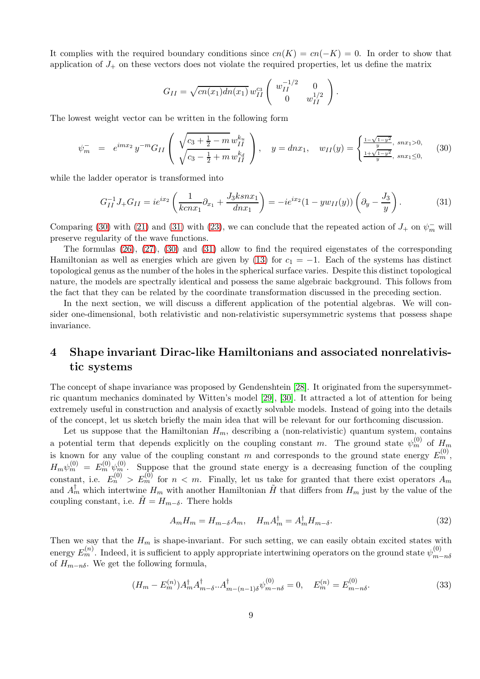It complies with the required boundary conditions since  $cn(K) = cn(-K) = 0$ . In order to show that application of  $J_+$  on these vectors does not violate the required properties, let us define the matrix

$$
G_{II} = \sqrt{cn(x_1)dn(x_1)} w_{II}^{c_3} \begin{pmatrix} w_{II}^{-1/2} & 0 \ 0 & w_{II}^{1/2} \end{pmatrix}.
$$

The lowest weight vector can be written in the following form

<span id="page-8-0"></span>
$$
\psi_m^- = e^{imx_2} y^{-m} G_{II} \left( \sqrt{\frac{c_3 + \frac{1}{2} - m w_{II}^{k_u}}{\sqrt{c_3 - \frac{1}{2} + m w_{II}^{k_d}}}} \right), \quad y = dnx_1, \quad w_{II}(y) = \begin{cases} \frac{1 - \sqrt{1 - y^2}}{y}, \, \text{sn}x_1 > 0, \\ \frac{1 + \sqrt{1 - y^2}}{y}, \, \text{sn}x_1 \le 0, \end{cases} \tag{30}
$$

while the ladder operator is transformed into

<span id="page-8-1"></span>
$$
G_{II}^{-1} J_+ G_{II} = i e^{ix_2} \left( \frac{1}{k c n x_1} \partial_{x_1} + \frac{J_3 k s n x_1}{d n x_1} \right) = -i e^{ix_2} (1 - y w_{II}(y)) \left( \partial_y - \frac{J_3}{y} \right). \tag{31}
$$

Comparing [\(30\)](#page-8-0) with [\(21\)](#page-5-2) and [\(31\)](#page-8-1) with [\(23\)](#page-6-0), we can conclude that the repeated action of  $J_+$  on  $\psi_m^-$  will preserve regularity of the wave functions.

The formulas [\(26\)](#page-7-0), [\(27\)](#page-7-1), [\(30\)](#page-8-0) and [\(31\)](#page-8-1) allow to find the required eigenstates of the corresponding Hamiltonian as well as energies which are given by [\(13\)](#page-3-2) for  $c_1 = -1$ . Each of the systems has distinct topological genus as the number of the holes in the spherical surface varies. Despite this distinct topological nature, the models are spectrally identical and possess the same algebraic background. This follows from the fact that they can be related by the coordinate transformation discussed in the preceding section.

In the next section, we will discuss a different application of the potential algebras. We will consider one-dimensional, both relativistic and non-relativistic supersymmetric systems that possess shape invariance.

## 4 Shape invariant Dirac-like Hamiltonians and associated nonrelativistic systems

The concept of shape invariance was proposed by Gendenshtein [\[28\]](#page-18-11). It originated from the supersymmetric quantum mechanics dominated by Witten's model [\[29\]](#page-18-12), [\[30\]](#page-18-13). It attracted a lot of attention for being extremely useful in construction and analysis of exactly solvable models. Instead of going into the details of the concept, let us sketch briefly the main idea that will be relevant for our forthcoming discussion.

Let us suppose that the Hamiltonian  $H_m$ , describing a (non-relativistic) quantum system, contains a potential term that depends explicitly on the coupling constant m. The ground state  $\psi_m^{(0)}$  of  $H_m$ is known for any value of the coupling constant m and corresponds to the ground state energy  $E_m^{(0)}$ ,  $H_m\psi_m^{(0)} = E_m^{(0)}\psi_m^{(0)}$ . Suppose that the ground state energy is a decreasing function of the coupling constant, i.e.  $E_n^{(0)} > E_m^{(0)}$  for  $n < m$ . Finally, let us take for granted that there exist operators  $A_m$ and  $A_m^{\dagger}$  which intertwine  $H_m$  with another Hamiltonian  $\tilde{H}$  that differs from  $H_m$  just by the value of the coupling constant, i.e.  $\tilde{H} = H_{m-\delta}$ . There holds

<span id="page-8-2"></span>
$$
A_m H_m = H_{m-\delta} A_m, \quad H_m A_m^{\dagger} = A_m^{\dagger} H_{m-\delta}.
$$
\n(32)

Then we say that the  $H_m$  is shape-invariant. For such setting, we can easily obtain excited states with energy  $E_m^{(n)}$ . Indeed, it is sufficient to apply appropriate intertwining operators on the ground state  $\psi_{m}^{(0)}$  $m-n\delta$ of  $H_{m-n\delta}$ . We get the following formula,

<span id="page-8-3"></span>
$$
(H_m - E_m^{(n)})A_m^{\dagger}A_{m-\delta}^{\dagger} A_{m-(n-1)\delta}^{\dagger} \psi_{m-n\delta}^{(0)} = 0, \quad E_m^{(n)} = E_{m-n\delta}^{(0)}.
$$
\n(33)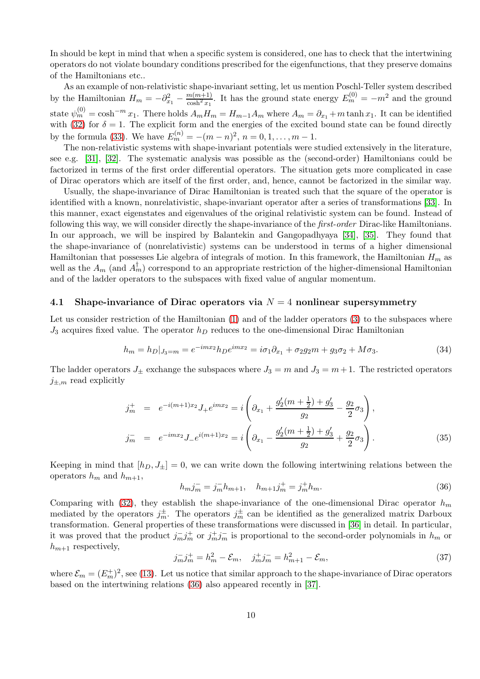In should be kept in mind that when a specific system is considered, one has to check that the intertwining operators do not violate boundary conditions prescribed for the eigenfunctions, that they preserve domains of the Hamiltonians etc..

As an example of non-relativistic shape-invariant setting, let us mention Poschl-Teller system described by the Hamiltonian  $H_m = -\partial_{x_1}^2 - \frac{m(m+1)}{\cosh^2 x_1}$  $\frac{m(m+1)}{\cosh^2 x_1}$ . It has the ground state energy  $E_m^{(0)} = -m^2$  and the ground state  $\psi_m^{(0)} = \cosh^{-m} x_1$ . There holds  $A_m H_m = H_{m-1} A_m$  where  $A_m = \partial_{x_1} + m \tanh x_1$ . It can be identified with [\(32\)](#page-8-2) for  $\delta = 1$ . The explicit form and the energies of the excited bound state can be found directly by the formula [\(33\)](#page-8-3). We have  $E_m^{(n)} = -(m-n)^2, n = 0, 1, ..., m-1.$ 

The non-relativistic systems with shape-invariant potentials were studied extensively in the literature, see e.g. [\[31\]](#page-18-14), [\[32\]](#page-18-15). The systematic analysis was possible as the (second-order) Hamiltonians could be factorized in terms of the first order differential operators. The situation gets more complicated in case of Dirac operators which are itself of the first order, and, hence, cannot be factorized in the similar way.

Usually, the shape-invariance of Dirac Hamiltonian is treated such that the square of the operator is identified with a known, nonrelativistic, shape-invariant operator after a series of transformations [\[33\]](#page-18-16). In this manner, exact eigenstates and eigenvalues of the original relativistic system can be found. Instead of following this way, we will consider directly the shape-invariance of the *first-order* Dirac-like Hamiltonians. In our approach, we will be inspired by Balantekin and Gangopadhyaya [\[34\]](#page-18-17), [\[35\]](#page-18-18). They found that the shape-invariance of (nonrelativistic) systems can be understood in terms of a higher dimensional Hamiltonian that possesses Lie algebra of integrals of motion. In this framework, the Hamiltonian  $H_m$  as well as the  $A_m$  (and  $A_m^{\dagger}$ ) correspond to an appropriate restriction of the higher-dimensional Hamiltonian and of the ladder operators to the subspaces with fixed value of angular momentum.

#### 4.1 Shape-invariance of Dirac operators via  $N = 4$  nonlinear supersymmetry

Let us consider restriction of the Hamiltonian [\(1\)](#page-1-0) and of the ladder operators [\(3\)](#page-1-2) to the subspaces where  $J_3$  acquires fixed value. The operator  $h_D$  reduces to the one-dimensional Dirac Hamiltonian

<span id="page-9-2"></span>
$$
h_m = h_D|_{J_3=m} = e^{-imx_2}h_D e^{imx_2} = i\sigma_1 \partial_{x_1} + \sigma_2 g_2 m + g_3 \sigma_2 + M \sigma_3. \tag{34}
$$

The ladder operators  $J_{\pm}$  exchange the subspaces where  $J_3 = m$  and  $J_3 = m+1$ . The restricted operators  $j_{\pm,m}$  read explicitly

<span id="page-9-3"></span>
$$
j_m^+ = e^{-i(m+1)x_2} J_+ e^{imx_2} = i \left( \partial_{x_1} + \frac{g_2'(m+\frac{1}{2}) + g_3'}{g_2} - \frac{g_2}{2} \sigma_3 \right),
$$
  
\n
$$
j_m^- = e^{-imx_2} J_- e^{i(m+1)x_2} = i \left( \partial_{x_1} - \frac{g_2'(m+\frac{1}{2}) + g_3'}{g_2} + \frac{g_2}{2} \sigma_3 \right).
$$
\n(35)

Keeping in mind that  $[h_D, J_{\pm}] = 0$ , we can write down the following intertwining relations between the operators  $h_m$  and  $h_{m+1}$ ,

<span id="page-9-0"></span>
$$
h_m j_m^- = j_m^- h_{m+1}, \quad h_{m+1} j_m^+ = j_m^+ h_m. \tag{36}
$$

Comparing with [\(32\)](#page-8-2), they establish the shape-invariance of the one-dimensional Dirac operator  $h_m$ mediated by the operators  $j_m^{\pm}$ . The operators  $j_m^{\pm}$  can be identified as the generalized matrix Darboux transformation. General properties of these transformations were discussed in [\[36\]](#page-18-19) in detail. In particular, it was proved that the product  $j_m^- j_m^+$  or  $j_m^+ j_m^-$  is proportional to the second-order polynomials in  $h_m$  or  $h_{m+1}$  respectively,

<span id="page-9-1"></span>
$$
j_m^- j_m^+ = h_m^2 - \mathcal{E}_m, \quad j_m^+ j_m^- = h_{m+1}^2 - \mathcal{E}_m,\tag{37}
$$

where  $\mathcal{E}_m = (E_m^+)^2$ , see [\(13\)](#page-3-2). Let us notice that similar approach to the shape-invariance of Dirac operators based on the intertwining relations [\(36\)](#page-9-0) also appeared recently in [\[37\]](#page-18-20).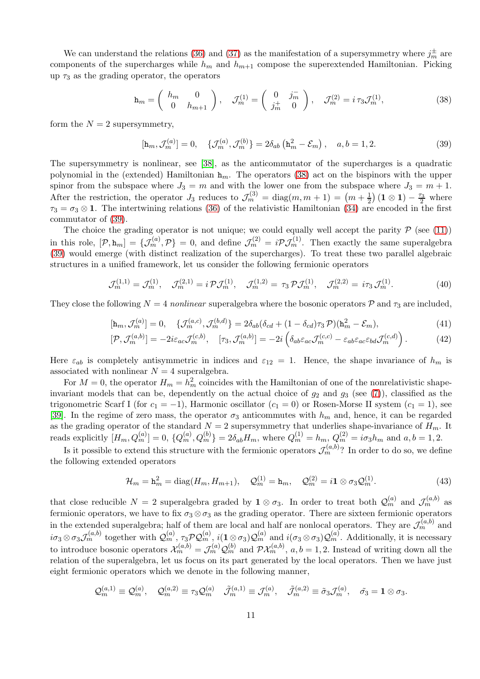We can understand the relations [\(36\)](#page-9-0) and [\(37\)](#page-9-1) as the manifestation of a supersymmetry where  $j_m^{\pm}$  are components of the supercharges while  $h_m$  and  $h_{m+1}$  compose the superextended Hamiltonian. Picking up  $\tau_3$  as the grading operator, the operators

<span id="page-10-0"></span>
$$
\mathbf{h}_m = \begin{pmatrix} h_m & 0 \\ 0 & h_{m+1} \end{pmatrix}, \quad \mathcal{J}_m^{(1)} = \begin{pmatrix} 0 & j_m^- \\ j_m^+ & 0 \end{pmatrix}, \quad \mathcal{J}_m^{(2)} = i \tau_3 \mathcal{J}_m^{(1)},\tag{38}
$$

form the  $N = 2$  supersymmetry,

<span id="page-10-1"></span>
$$
[\mathbf{h}_m, \mathcal{J}_m^{(a)}] = 0, \quad \{ \mathcal{J}_m^{(a)}, \mathcal{J}_m^{(b)} \} = 2\delta_{ab} (\mathbf{h}_m^2 - \mathcal{E}_m), \quad a, b = 1, 2. \tag{39}
$$

The supersymmetry is nonlinear, see [\[38\]](#page-18-21), as the anticommutator of the supercharges is a quadratic polynomial in the (extended) Hamiltonian  $h_m$ . The operators [\(38\)](#page-10-0) act on the bispinors with the upper spinor from the subspace where  $J_3 = m$  and with the lower one from the subspace where  $J_3 = m + 1$ . After the restriction, the operator  $J_3$  reduces to  $\mathcal{J}_m^{(3)} = \text{diag}(m, m + 1) = (m + \frac{1}{2}) (1 \otimes 1) - \frac{\tau_3}{2}$  where  $\tau_3 = \sigma_3 \otimes \mathbf{1}$ . The intertwining relations [\(36\)](#page-9-0) of the relativistic Hamiltonian [\(34\)](#page-9-2) are encoded in the first commutator of [\(39\)](#page-10-1).

The choice the grading operator is not unique; we could equally well accept the parity  $P$  (see [\(11\)](#page-2-5)) in this role,  $[\mathcal{P}, \mathbf{h}_m] = {\mathcal{J}_m^{(a)}, \mathcal{P}} = 0$ , and define  $\mathcal{J}_m^{(2)} = i \mathcal{P} \mathcal{J}_m^{(1)}$ . Then exactly the same superalgebra [\(39\)](#page-10-1) would emerge (with distinct realization of the supercharges). To treat these two parallel algebraic structures in a unified framework, let us consider the following fermionic operators

$$
\mathcal{J}_m^{(1,1)} = \mathcal{J}_m^{(1)}, \quad \mathcal{J}_m^{(2,1)} = i \mathcal{P} \mathcal{J}_m^{(1)}, \quad \mathcal{J}_m^{(1,2)} = \tau_3 \mathcal{P} \mathcal{J}_m^{(1)}, \quad \mathcal{J}_m^{(2,2)} = i \tau_3 \mathcal{J}_m^{(1)}.
$$
 (40)

They close the following  $N = 4$  *nonlinear* superalgebra where the bosonic operators  $\mathcal{P}$  and  $\tau_3$  are included,

$$
[\mathbf{h}_m, \mathcal{J}_m^{(a)}] = 0, \quad \{ \mathcal{J}_m^{(a,c)}, \mathcal{J}_m^{(b,d)} \} = 2\delta_{ab} (\delta_{cd} + (1 - \delta_{cd})\tau_3 \mathcal{P}) (\mathbf{h}_m^2 - \mathcal{E}_m), \tag{41}
$$

$$
[\mathcal{P}, \mathcal{J}_m^{(a,b)}] = -2i\varepsilon_{ac}\mathcal{J}_m^{(c,b)}, \quad [\tau_3, \mathcal{J}_m^{(a,b)}] = -2i\left(\delta_{ab}\varepsilon_{ac}\mathcal{J}_m^{(c,c)} - \varepsilon_{ab}\varepsilon_{ac}\varepsilon_{bd}\mathcal{J}_m^{(c,d)}\right). \tag{42}
$$

Here  $\varepsilon_{ab}$  is completely antisymmetric in indices and  $\varepsilon_{12} = 1$ . Hence, the shape invariance of  $h_m$  is associated with nonlinear  $N = 4$  superalgebra.

For  $M = 0$ , the operator  $H_m = h_m^2$  coincides with the Hamiltonian of one of the nonrelativistic shapeinvariant models that can be, dependently on the actual choice of  $g_2$  and  $g_3$  (see [\(7\)](#page-2-1)), classified as the trigonometric Scarf I (for  $c_1 = -1$ ), Harmonic oscillator ( $c_1 = 0$ ) or Rosen-Morse II system ( $c_1 = 1$ ), see [\[39\]](#page-19-0). In the regime of zero mass, the operator  $\sigma_3$  anticommutes with  $h_m$  and, hence, it can be regarded as the grading operator of the standard  $N = 2$  supersymmetry that underlies shape-invariance of  $H_m$ . It reads explicitly  $[H_m, Q_m^{(a)}] = 0, \{Q_m^{(a)}, Q_m^{(b)}\} = 2\delta_{ab}H_m$ , where  $Q_m^{(1)} = h_m, Q_m^{(2)} = i\sigma_3 h_m$  and  $a, b = 1, 2$ .

Is it possible to extend this structure with the fermionic operators  $\mathcal{J}_m^{(a,b)}$ ? In order to do so, we define the following extended operators

<span id="page-10-2"></span>
$$
\mathcal{H}_m = \mathbf{h}_m^2 = \text{diag}(H_m, H_{m+1}), \quad \mathcal{Q}_m^{(1)} = \mathbf{h}_m, \quad \mathcal{Q}_m^{(2)} = i \mathbf{1} \otimes \sigma_3 \mathcal{Q}_m^{(1)}.
$$
\n
$$
(43)
$$

that close reducible  $N=2$  superalgebra graded by  $1 \otimes \sigma_3$ . In order to treat both  $\mathcal{Q}_m^{(a)}$  and  $\mathcal{J}_m^{(a,b)}$  as fermionic operators, we have to fix  $\sigma_3 \otimes \sigma_3$  as the grading operator. There are sixteen fermionic operators in the extended superalgebra; half of them are local and half are nonlocal operators. They are  $\mathcal{J}_m^{(a,b)}$  and  $i\sigma_3\otimes\sigma_3\mathcal{J}_m^{(a,b)}$  together with  $\mathcal{Q}_m^{(a)}$ ,  $\tau_3\mathcal{P}\mathcal{Q}_m^{(a)}$ ,  $i(1\otimes\sigma_3)\mathcal{Q}_m^{(a)}$  and  $i(\sigma_3\otimes\sigma_3)\mathcal{Q}_m^{(a)}$ . Additionally, it is necessary to introduce bosonic operators  $\mathcal{X}_m^{(a,b)} = \mathcal{J}_m^{(a)} \mathcal{Q}_m^{(b)}$  and  $\mathcal{PX}_m^{(a,b)}$ ,  $a, b = 1, 2$ . Instead of writing down all the relation of the superalgebra, let us focus on its part generated by the local operators. Then we have just eight fermionic operators which we denote in the following manner,

$$
\mathcal{Q}_m^{(a,1)} \equiv \mathcal{Q}_m^{(a)}, \quad \mathcal{Q}_m^{(a,2)} \equiv \tau_3 \mathcal{Q}_m^{(a)} \quad \tilde{\mathcal{J}}_m^{(a,1)} \equiv \mathcal{J}_m^{(a)}, \quad \tilde{\mathcal{J}}_m^{(a,2)} \equiv \tilde{\sigma}_3 \mathcal{J}_m^{(a)}, \quad \tilde{\sigma}_3 = \mathbf{1} \otimes \sigma_3.
$$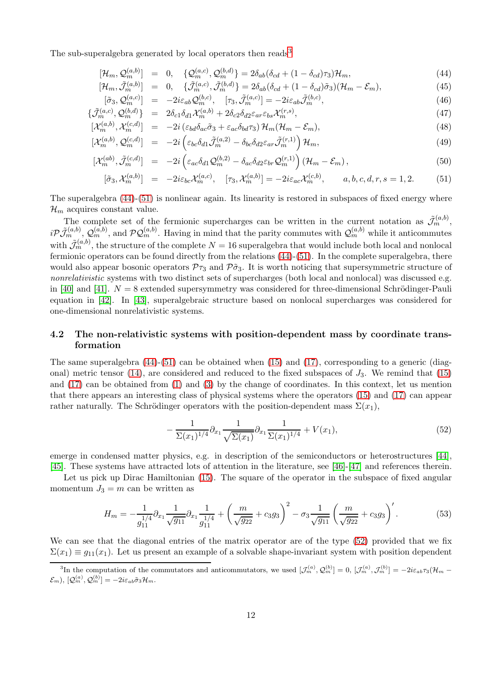The sub-superalgebra generated by local operators then reads<sup>[3](#page-11-0)</sup>

<span id="page-11-1"></span>
$$
[\mathcal{H}_m, \mathcal{Q}_m^{(a,b)}] = 0, \quad \{ \mathcal{Q}_m^{(a,c)}, \mathcal{Q}_m^{(b,d)} \} = 2\delta_{ab} (\delta_{cd} + (1 - \delta_{cd})\tau_3) \mathcal{H}_m, \tag{44}
$$

$$
[\mathcal{H}_m, \tilde{\mathcal{J}}_m^{(a,b)}] = 0, \quad \{\tilde{\mathcal{J}}_m^{(a,c)}, \tilde{\mathcal{J}}_m^{(b,d)}\} = 2\delta_{ab}(\delta_{cd} + (1 - \delta_{cd})\tilde{\sigma}_3)(\mathcal{H}_m - \mathcal{E}_m), \tag{45}
$$

$$
[\tilde{\sigma}_3, \mathcal{Q}_m^{(a,c)}] = -2i\varepsilon_{ab}\mathcal{Q}_m^{(b,c)}, \quad [\tau_3, \tilde{\mathcal{J}}_m^{(a,c)}] = -2i\varepsilon_{ab}\tilde{\mathcal{J}}_m^{(b,c)},\tag{46}
$$

$$
\{\tilde{\mathcal{J}}_{m}^{(a,c)}, \mathcal{Q}_{m}^{(b,d)}\} = 2\delta_{c1}\delta_{d1}\mathcal{X}_{m}^{(a,b)} + 2\delta_{c2}\delta_{d2}\varepsilon_{ar}\varepsilon_{bs}\mathcal{X}_{m}^{(r,s)},\tag{47}
$$

$$
[\mathcal{X}_m^{(a,b)}, \mathcal{X}_m^{(c,d)}] = -2i \left( \varepsilon_{bd} \delta_{ac} \tilde{\sigma}_3 + \varepsilon_{ac} \delta_{bd} \tau_3 \right) \mathcal{H}_m(\mathcal{H}_m - \mathcal{E}_m), \tag{48}
$$

$$
\left[\mathcal{X}_m^{(a,b)}, \mathcal{Q}_m^{(c,d)}\right] = -2i\left(\varepsilon_{bc}\delta_{d1}\tilde{\mathcal{J}}_m^{(a,2)} - \delta_{bc}\delta_{d2}\varepsilon_{ar}\tilde{\mathcal{J}}_m^{(r,1)}\right)\mathcal{H}_m,\tag{49}
$$

$$
[\mathcal{X}_m^{(ab)}, \tilde{\mathcal{J}}_m^{(c,d)}] = -2i \left( \varepsilon_{ac} \delta_{d1} \mathcal{Q}_m^{(b,2)} - \delta_{ac} \delta_{d2} \varepsilon_{br} \mathcal{Q}_m^{(r,1)} \right) \left( \mathcal{H}_m - \mathcal{E}_m \right),\tag{50}
$$

$$
[\tilde{\sigma}_3, \mathcal{X}_m^{(a,b)}] = -2i\varepsilon_{bc} \mathcal{X}_m^{(a,c)}, \quad [\tau_3, \mathcal{X}_m^{(a,b)}] = -2i\varepsilon_{ac} \mathcal{X}_m^{(c,b)}, \qquad a, b, c, d, r, s = 1, 2. \tag{51}
$$

The superalgebra [\(44\)](#page-11-1)-[\(51\)](#page-11-1) is nonlinear again. Its linearity is restored in subspaces of fixed energy where  $\mathcal{H}_m$  acquires constant value.

The complete set of the fermionic supercharges can be written in the current notation as  $\tilde{\mathcal{J}}_m^{(a,b)}$ ,  $i\mathcal{P}\tilde{\mathcal{J}}_{m}^{(a,b)},\mathcal{Q}_{m}^{(a,b)}$ , and  $\mathcal{P}\mathcal{Q}_{m}^{(a,b)}$ . Having in mind that the parity commutes with  $\mathcal{Q}_{m}^{(a,b)}$  while it anticommutes with  $\tilde{\mathcal{J}}_m^{(a,b)}$ , the structure of the complete  $N=16$  superalgebra that would include both local and nonlocal fermionic operators can be found directly from the relations [\(44\)](#page-11-1)-[\(51\)](#page-11-1). In the complete superalgebra, there would also appear bosonic operators  $\mathcal{P}_{\tau_3}$  and  $\mathcal{P}_{\sigma_3}$ . It is worth noticing that supersymmetric structure of *nonrelativistic* systems with two distinct sets of supercharges (both local and nonlocal) was discussed e.g. in [\[40\]](#page-19-1) and [\[41\]](#page-19-2).  $N = 8$  extended supersymmetry was considered for three-dimensional Schrödinger-Pauli equation in [\[42\]](#page-19-3). In [\[43\]](#page-19-4), superalgebraic structure based on nonlocal supercharges was considered for one-dimensional nonrelativistic systems.

### 4.2 The non-relativistic systems with position-dependent mass by coordinate transformation

The same superalgebra  $(44)-(51)$  $(44)-(51)$  can be obtained when  $(15)$  and  $(17)$ , corresponding to a generic (diag-onal) metric tensor [\(14\)](#page-3-3), are considered and reduced to the fixed subspaces of  $J_3$ . We remind that [\(15\)](#page-4-0) and [\(17\)](#page-4-2) can be obtained from [\(1\)](#page-1-0) and [\(3\)](#page-1-2) by the change of coordinates. In this context, let us mention that there appears an interesting class of physical systems where the operators [\(15\)](#page-4-0) and [\(17\)](#page-4-2) can appear rather naturally. The Schrödinger operators with the position-dependent mass  $\Sigma(x_1)$ ,

<span id="page-11-2"></span>
$$
-\frac{1}{\Sigma(x_1)^{1/4}}\partial_{x_1}\frac{1}{\sqrt{\Sigma(x_1)}}\partial_{x_1}\frac{1}{\Sigma(x_1)^{1/4}}+V(x_1),\tag{52}
$$

emerge in condensed matter physics, e.g. in description of the semiconductors or heterostructures [\[44\]](#page-19-5), [\[45\]](#page-19-6). These systems have attracted lots of attention in the literature, see [\[46\]](#page-19-7)-[\[47\]](#page-19-8) and references therein.

Let us pick up Dirac Hamiltonian [\(15\)](#page-4-0). The square of the operator in the subspace of fixed angular momentum  $J_3 = m$  can be written as

$$
H_m = -\frac{1}{g_{11}^{1/4}} \partial_{x_1} \frac{1}{\sqrt{g_{11}}} \partial_{x_1} \frac{1}{g_{11}^{1/4}} + \left(\frac{m}{\sqrt{g_{22}}} + c_3 g_3\right)^2 - \sigma_3 \frac{1}{\sqrt{g_{11}}} \left(\frac{m}{\sqrt{g_{22}}} + c_3 g_3\right)'.
$$
 (53)

We can see that the diagonal entries of the matrix operator are of the type  $(52)$  provided that we fix  $\Sigma(x_1) \equiv q_{11}(x_1)$ . Let us present an example of a solvable shape-invariant system with position dependent

<span id="page-11-0"></span><sup>&</sup>lt;sup>3</sup>In the computation of the commutators and anticommutators, we used  $[\mathcal{J}_m^{(a)}, \mathcal{Q}_m^{(b)}] = 0$ ,  $[\mathcal{J}_m^{(a)}, \mathcal{J}_m^{(b)}] = -2i\varepsilon_{ab}\tau_3(\mathcal{H}_m \{\mathcal{E}_m\},\, [\mathcal{Q}_m^{(a)},\mathcal{Q}_m^{(b)}] = -2i\varepsilon_{ab}\tilde{\sigma}_3\mathcal{H}_m.$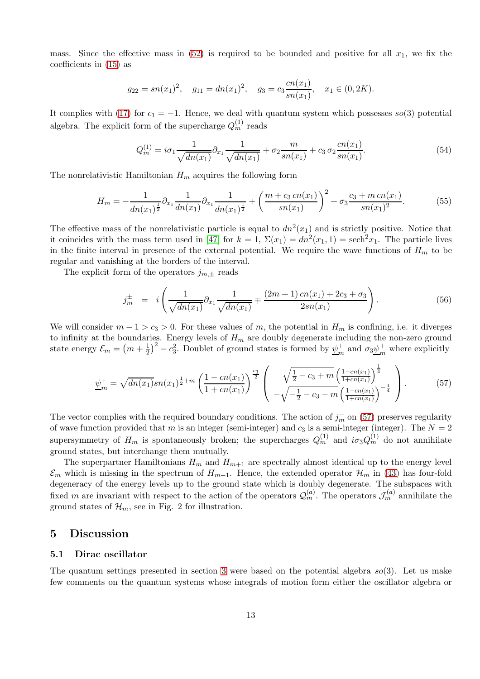mass. Since the effective mass in  $(52)$  is required to be bounded and positive for all  $x_1$ , we fix the coefficients in [\(15\)](#page-4-0) as

$$
g_{22} = sn(x_1)^2
$$
,  $g_{11} = dn(x_1)^2$ ,  $g_3 = c_3 \frac{cn(x_1)}{sn(x_1)}$ ,  $x_1 \in (0, 2K)$ .

It complies with [\(17\)](#page-4-2) for  $c_1 = -1$ . Hence, we deal with quantum system which possesses so(3) potential algebra. The explicit form of the supercharge  $Q_m^{(1)}$  reads

$$
Q_m^{(1)} = i\sigma_1 \frac{1}{\sqrt{dn(x_1)}} \partial_{x_1} \frac{1}{\sqrt{dn(x_1)}} + \sigma_2 \frac{m}{sn(x_1)} + c_3 \sigma_2 \frac{cn(x_1)}{sn(x_1)}.
$$
 (54)

The nonrelativistic Hamiltonian  $H_m$  acquires the following form

$$
H_m = -\frac{1}{dn(x_1)^{\frac{1}{2}}} \partial_{x_1} \frac{1}{dn(x_1)} \partial_{x_1} \frac{1}{dn(x_1)^{\frac{1}{2}}} + \left(\frac{m + c_3 \operatorname{cn}(x_1)}{\operatorname{sn}(x_1)}\right)^2 + \sigma_3 \frac{c_3 + m \operatorname{cn}(x_1)}{\operatorname{sn}(x_1)^2}.
$$
(55)

The effective mass of the nonrelativistic particle is equal to  $dn^2(x_1)$  and is strictly positive. Notice that it coincides with the mass term used in [\[47\]](#page-19-8) for  $k = 1$ ,  $\Sigma(x_1) = dn^2(x_1, 1) = \text{sech}^2 x_1$ . The particle lives in the finite interval in presence of the external potential. We require the wave functions of  $H_m$  to be regular and vanishing at the borders of the interval.

The explicit form of the operators  $j_{m,\pm}$  reads

$$
j_m^{\pm} = i \left( \frac{1}{\sqrt{dn(x_1)}} \partial_{x_1} \frac{1}{\sqrt{dn(x_1)}} + \frac{(2m+1) cn(x_1) + 2c_3 + \sigma_3}{2sn(x_1)} \right).
$$
 (56)

We will consider  $m - 1 > c_3 > 0$ . For these values of m, the potential in  $H_m$  is confining, i.e. it diverges to infinity at the boundaries. Energy levels of  $H_m$  are doubly degenerate including the non-zero ground state energy  $\mathcal{E}_m = \left(m + \frac{1}{2}\right)^2 - c_3^2$ . Doublet of ground states is formed by  $\underline{\psi}_m^+$  $_m^+$  and  $\sigma_3 \underline{\psi}_m^+$  $\frac{1}{m}$  where explicitly

<span id="page-12-0"></span>
$$
\underline{\psi}_m^+ = \sqrt{dn(x_1)}sn(x_1)^{\frac{1}{2}+m} \left(\frac{1-cn(x_1)}{1+cn(x_1)}\right)^{\frac{c_3}{2}} \left(\begin{array}{c} \sqrt{\frac{1}{2}-c_3+m} \left(\frac{1-cn(x_1)}{1+cn(x_1)}\right)^{\frac{1}{4}}\\ -\sqrt{-\frac{1}{2}-c_3-m} \left(\frac{1-cn(x_1)}{1+cn(x_1)}\right)^{-\frac{1}{4}} \end{array}\right).
$$
(57)

The vector complies with the required boundary conditions. The action of  $j<sub>m</sub>$  on [\(57\)](#page-12-0) preserves regularity of wave function provided that m is an integer (semi-integer) and  $c_3$  is a semi-integer (integer). The  $N = 2$ supersymmetry of  $H_m$  is spontaneously broken; the supercharges  $Q_m^{(1)}$  and  $i\sigma_3 Q_m^{(1)}$  do not annihilate ground states, but interchange them mutually.

The superpartner Hamiltonians  $H_m$  and  $H_{m+1}$  are spectrally almost identical up to the energy level  $\mathcal{E}_m$  which is missing in the spectrum of  $H_{m+1}$ . Hence, the extended operator  $\mathcal{H}_m$  in [\(43\)](#page-10-2) has four-fold degeneracy of the energy levels up to the ground state which is doubly degenerate. The subspaces with fixed m are invariant with respect to the action of the operators  $\mathcal{Q}_m^{(a)}$ . The operators  $\mathcal{J}_m^{(a)}$  annihilate the ground states of  $\mathcal{H}_m$ , see in Fig. 2 for illustration.

#### 5 Discussion

#### 5.1 Dirac oscillator

The quantum settings presented in section [3](#page-4-3) were based on the potential algebra  $so(3)$ . Let us make few comments on the quantum systems whose integrals of motion form either the oscillator algebra or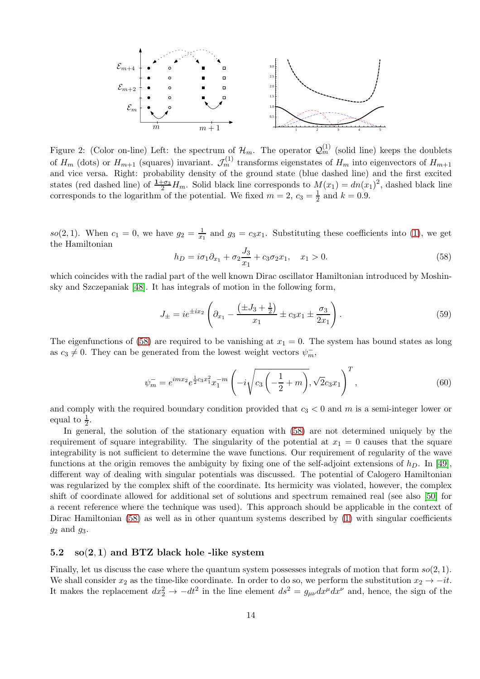

Figure 2: (Color on-line) Left: the spectrum of  $\mathcal{H}_m$ . The operator  $\mathcal{Q}_m^{(1)}$  (solid line) keeps the doublets of  $H_m$  (dots) or  $H_{m+1}$  (squares) invariant.  $\mathcal{J}_m^{(1)}$  transforms eigenstates of  $H_m$  into eigenvectors of  $H_{m+1}$ and vice versa. Right: probability density of the ground state (blue dashed line) and the first excited states (red dashed line) of  $\frac{1+\sigma_3}{2}H_m$ . Solid black line corresponds to  $M(x_1) = dn(x_1)^2$ , dashed black line corresponds to the logarithm of the potential. We fixed  $m=2, c_3=\frac{1}{2}$  $\frac{1}{2}$  and  $k = 0.9$ .

so(2, 1). When  $c_1 = 0$ , we have  $g_2 = \frac{1}{x_1}$  $\frac{1}{x_1}$  and  $g_3 = c_3 x_1$ . Substituting these coefficients into [\(1\)](#page-1-0), we get the Hamiltonian

<span id="page-13-0"></span>
$$
h_D = i\sigma_1 \partial_{x_1} + \sigma_2 \frac{J_3}{x_1} + c_3 \sigma_2 x_1, \quad x_1 > 0.
$$
\n(58)

which coincides with the radial part of the well known Dirac oscillator Hamiltonian introduced by Moshinsky and Szczepaniak [\[48\]](#page-19-9). It has integrals of motion in the following form,

$$
J_{\pm} = ie^{\pm ix_2} \left( \partial_{x_1} - \frac{\left(\pm J_3 + \frac{1}{2}\right)}{x_1} \pm c_3 x_1 \pm \frac{\sigma_3}{2x_1} \right). \tag{59}
$$

The eigenfunctions of [\(58\)](#page-13-0) are required to be vanishing at  $x_1 = 0$ . The system has bound states as long as  $c_3 \neq 0$ . They can be generated from the lowest weight vectors  $\psi_m^-$ ,

$$
\psi_m^- = e^{imx_2} e^{\frac{1}{2} c_3 x_1^2} x_1^{-m} \left( -i \sqrt{c_3 \left( -\frac{1}{2} + m \right)}, \sqrt{2} c_3 x_1 \right)^T, \tag{60}
$$

and comply with the required boundary condition provided that  $c_3 < 0$  and m is a semi-integer lower or equal to  $\frac{1}{2}$ .

In general, the solution of the stationary equation with [\(58\)](#page-13-0) are not determined uniquely by the requirement of square integrability. The singularity of the potential at  $x_1 = 0$  causes that the square integrability is not sufficient to determine the wave functions. Our requirement of regularity of the wave functions at the origin removes the ambiguity by fixing one of the self-adjoint extensions of  $h_D$ . In [\[49\]](#page-19-10), different way of dealing with singular potentials was discussed. The potential of Calogero Hamiltonian was regularized by the complex shift of the coordinate. Its hermicity was violated, however, the complex shift of coordinate allowed for additional set of solutions and spectrum remained real (see also [\[50\]](#page-19-11) for a recent reference where the technique was used). This approach should be applicable in the context of Dirac Hamiltonian [\(58\)](#page-13-0) as well as in other quantum systems described by [\(1\)](#page-1-0) with singular coefficients  $g_2$  and  $g_3$ .

## 5.2  $so(2, 1)$  and BTZ black hole -like system

Finally, let us discuss the case where the quantum system possesses integrals of motion that form  $so(2, 1)$ . We shall consider  $x_2$  as the time-like coordinate. In order to do so, we perform the substitution  $x_2 \to -it$ . It makes the replacement  $dx_2^2 \to -dt^2$  in the line element  $ds^2 = g_{\mu\nu} dx^{\mu} dx^{\nu}$  and, hence, the sign of the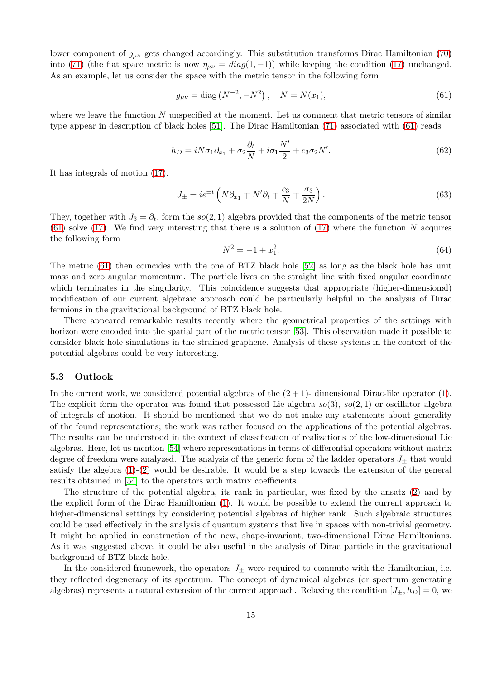lower component of  $g_{\mu\nu}$  gets changed accordingly. This substitution transforms Dirac Hamiltonian [\(70\)](#page-17-16) into [\(71\)](#page-17-17) (the flat space metric is now  $\eta_{\mu\nu} = diag(1, -1)$ ) while keeping the condition [\(17\)](#page-4-2) unchanged. As an example, let us consider the space with the metric tensor in the following form

<span id="page-14-0"></span>
$$
g_{\mu\nu} = \text{diag}\left(N^{-2}, -N^2\right), \quad N = N(x_1),\tag{61}
$$

where we leave the function  $N$  unspecified at the moment. Let us comment that metric tensors of similar type appear in description of black holes [51]. The Dirac Hamiltonian [\(71\)](#page-17-17) associated with [\(61\)](#page-14-0) reads

$$
h_D = iN\sigma_1\partial_{x_1} + \sigma_2\frac{\partial_t}{N} + i\sigma_1\frac{N'}{2} + c_3\sigma_2N'.
$$
\n(62)

It has integrals of motion [\(17\)](#page-4-2),

$$
J_{\pm} = ie^{\pm t} \left( N \partial_{x_1} \mp N' \partial_t \mp \frac{c_3}{N} \mp \frac{\sigma_3}{2N} \right). \tag{63}
$$

They, together with  $J_3 = \partial_t$ , form the so(2,1) algebra provided that the components of the metric tensor [\(61\)](#page-14-0) solve [\(17\)](#page-4-2). We find very interesting that there is a solution of (17) where the function N acquires the following form

$$
N^2 = -1 + x_1^2. \tag{64}
$$

The metric [\(61\)](#page-14-0) then coincides with the one of BTZ black hole [\[52\]](#page-19-12) as long as the black hole has unit mass and zero angular momentum. The particle lives on the straight line with fixed angular coordinate which terminates in the singularity. This coincidence suggests that appropriate (higher-dimensional) modification of our current algebraic approach could be particularly helpful in the analysis of Dirac fermions in the gravitational background of BTZ black hole.

There appeared remarkable results recently where the geometrical properties of the settings with horizon were encoded into the spatial part of the metric tensor [\[53\]](#page-19-13). This observation made it possible to consider black hole simulations in the strained graphene. Analysis of these systems in the context of the potential algebras could be very interesting.

#### 5.3 Outlook

In the current work, we considered potential algebras of the  $(2 + 1)$ - dimensional Dirac-like operator  $(1)$ . The explicit form the operator was found that possessed Lie algebra  $so(3)$ ,  $so(2, 1)$  or oscillator algebra of integrals of motion. It should be mentioned that we do not make any statements about generality of the found representations; the work was rather focused on the applications of the potential algebras. The results can be understood in the context of classification of realizations of the low-dimensional Lie algebras. Here, let us mention [\[54\]](#page-19-14) where representations in terms of differential operators without matrix degree of freedom were analyzed. The analysis of the generic form of the ladder operators  $J_{+}$  that would satisfy the algebra [\(1\)](#page-1-0)-[\(2\)](#page-1-1) would be desirable. It would be a step towards the extension of the general results obtained in [\[54\]](#page-19-14) to the operators with matrix coefficients.

The structure of the potential algebra, its rank in particular, was fixed by the ansatz [\(2\)](#page-1-1) and by the explicit form of the Dirac Hamiltonian [\(1\)](#page-1-0). It would be possible to extend the current approach to higher-dimensional settings by considering potential algebras of higher rank. Such algebraic structures could be used effectively in the analysis of quantum systems that live in spaces with non-trivial geometry. It might be applied in construction of the new, shape-invariant, two-dimensional Dirac Hamiltonians. As it was suggested above, it could be also useful in the analysis of Dirac particle in the gravitational background of BTZ black hole.

In the considered framework, the operators  $J_{\pm}$  were required to commute with the Hamiltonian, i.e. they reflected degeneracy of its spectrum. The concept of dynamical algebras (or spectrum generating algebras) represents a natural extension of the current approach. Relaxing the condition  $[J_{\pm}, h_D] = 0$ , we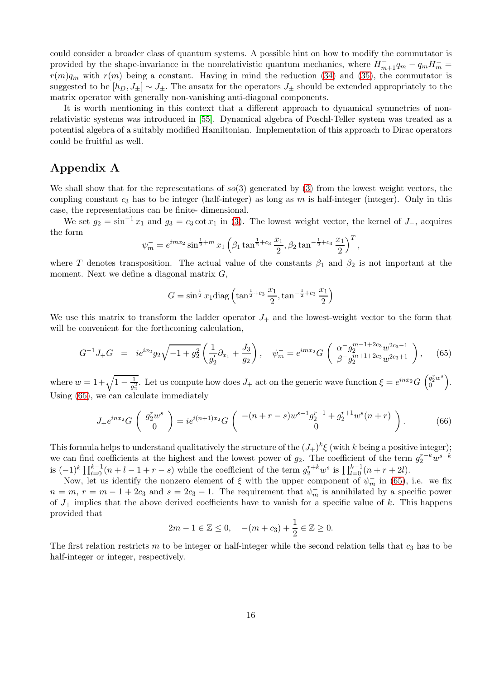could consider a broader class of quantum systems. A possible hint on how to modify the commutator is provided by the shape-invariance in the nonrelativistic quantum mechanics, where  $H_{m+1}^-q_m - q_mH_m^$  $r(m)q_m$  with  $r(m)$  being a constant. Having in mind the reduction [\(34\)](#page-9-2) and [\(35\)](#page-9-3), the commutator is suggested to be  $[h_D, J_{\pm}] \sim J_{\pm}$ . The ansatz for the operators  $J_{\pm}$  should be extended appropriately to the matrix operator with generally non-vanishing anti-diagonal components.

It is worth mentioning in this context that a different approach to dynamical symmetries of nonrelativistic systems was introduced in [\[55\]](#page-19-15). Dynamical algebra of Poschl-Teller system was treated as a potential algebra of a suitably modified Hamiltonian. Implementation of this approach to Dirac operators could be fruitful as well.

## Appendix A

We shall show that for the representations of  $so(3)$  generated by [\(3\)](#page-1-2) from the lowest weight vectors, the coupling constant  $c_3$  has to be integer (half-integer) as long as m is half-integer (integer). Only in this case, the representations can be finite- dimensional.

We set  $g_2 = \sin^{-1} x_1$  and  $g_3 = c_3 \cot x_1$  in [\(3\)](#page-1-2). The lowest weight vector, the kernel of  $J_$ , acquires the form

$$
\psi_m^- = e^{imx_2} \sin^{\frac{1}{2}+m} x_1 \left(\beta_1 \tan^{\frac{1}{2}+c_3} \frac{x_1}{2}, \beta_2 \tan^{-\frac{1}{2}+c_3} \frac{x_1}{2}\right)^T,
$$

where T denotes transposition. The actual value of the constants  $\beta_1$  and  $\beta_2$  is not important at the moment. Next we define a diagonal matrix  $G$ ,

$$
G = \sin^{\frac{1}{2}} x_1 \text{diag}\left(\tan^{\frac{1}{2}+c_3} \frac{x_1}{2}, \tan^{-\frac{1}{2}+c_3} \frac{x_1}{2}\right)
$$

We use this matrix to transform the ladder operator  $J_+$  and the lowest-weight vector to the form that will be convenient for the forthcoming calculation,

<span id="page-15-0"></span>
$$
G^{-1}J_{+}G = ie^{ix_{2}}g_{2}\sqrt{-1+g_{2}^{2}}\left(\frac{1}{g_{2}'}\partial_{x_{1}}+\frac{J_{3}}{g_{2}}\right), \quad \psi_{m}^{-} = e^{imx_{2}}G\left(\begin{array}{c} \alpha^{-}g_{2}^{m-1+2c_{3}}w^{2c_{3}-1} \\ \beta^{-}g_{2}^{m+1+2c_{3}}w^{2c_{3}+1} \end{array}\right), \quad (65)
$$

where  $w = 1 + \sqrt{1 - \frac{1}{g_2^2}}$  $\frac{1}{g_2^2}$ . Let us compute how does  $J_+$  act on the generic wave function  $\xi = e^{inx_2} G \begin{pmatrix} g_2^rw^s \\ 0 \end{pmatrix}$ . Using [\(65\)](#page-15-0), we can calculate immediately

$$
J_{+}e^{inx_{2}}G\left(\begin{array}{c}g_{2}^{r}w^{s}\\0\end{array}\right)=ie^{i(n+1)x_{2}}G\left(\begin{array}{c}-(n+r-s)w^{s-1}g_{2}^{r-1}+g_{2}^{r+1}w^{s}(n+r)\\0\end{array}\right).
$$
 (66)

This formula helps to understand qualitatively the structure of the  $(J_+)^k \xi$  (with k being a positive integer); we can find coefficients at the highest and the lowest power of  $g_2$ . The coefficient of the term  $g_2^{r-k}w^{s-k}$ is  $(-1)^k \prod_{l=0}^{k-1} (n+l-1+r-s)$  while the coefficient of the term  $g_2^{r+k} w^s$  is  $\prod_{l=0}^{k-1} (n+r+2l)$ .

Now, let us identify the nonzero element of  $\xi$  with the upper component of  $\psi_m^-$  in [\(65\)](#page-15-0), i.e. we fix  $n = m, r = m - 1 + 2c<sub>3</sub>$  and  $s = 2c<sub>3</sub> - 1$ . The requirement that  $\psi_m^-$  is annihilated by a specific power of  $J_+$  implies that the above derived coefficients have to vanish for a specific value of k. This happens provided that

$$
2m - 1 \in \mathbb{Z} \le 0, \quad -(m + c_3) + \frac{1}{2} \in \mathbb{Z} \ge 0.
$$

The first relation restricts m to be integer or half-integer while the second relation tells that  $c_3$  has to be half-integer or integer, respectively.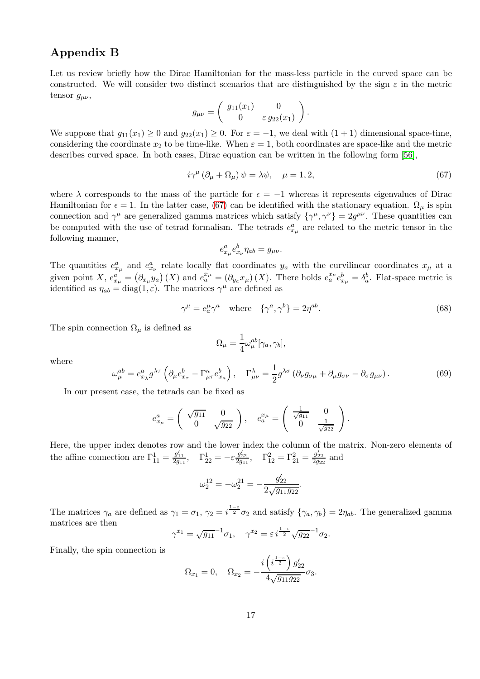## Appendix B

Let us review briefly how the Dirac Hamiltonian for the mass-less particle in the curved space can be constructed. We will consider two distinct scenarios that are distinguished by the sign  $\varepsilon$  in the metric tensor  $g_{\mu\nu}$ ,

$$
g_{\mu\nu} = \begin{pmatrix} g_{11}(x_1) & 0 \\ 0 & \varepsilon g_{22}(x_1) \end{pmatrix}.
$$

We suppose that  $g_{11}(x_1) \geq 0$  and  $g_{22}(x_1) \geq 0$ . For  $\varepsilon = -1$ , we deal with  $(1 + 1)$  dimensional space-time, considering the coordinate  $x_2$  to be time-like. When  $\varepsilon = 1$ , both coordinates are space-like and the metric describes curved space. In both cases, Dirac equation can be written in the following form [\[56\]](#page-19-16),

<span id="page-16-0"></span>
$$
i\gamma^{\mu} (\partial_{\mu} + \Omega_{\mu}) \psi = \lambda \psi, \quad \mu = 1, 2,
$$
\n(67)

where  $\lambda$  corresponds to the mass of the particle for  $\epsilon = -1$  whereas it represents eigenvalues of Dirac Hamiltonian for  $\epsilon = 1$ . In the latter case, [\(67\)](#page-16-0) can be identified with the stationary equation.  $\Omega_{\mu}$  is spin connection and  $\gamma^{\mu}$  are generalized gamma matrices which satisfy  $\{\gamma^{\mu}, \gamma^{\nu}\}=2g^{\mu\nu}$ . These quantities can be computed with the use of tetrad formalism. The tetrads  $e_{x_\mu}^a$  are related to the metric tensor in the following manner,

$$
e_{x_{\mu}}^{a}e_{x_{\nu}}^{b}\eta_{ab}=g_{\mu\nu}.
$$

The quantities  $e_{x_\mu}^a$  and  $e_{x_\nu}^a$  relate locally flat coordinates  $y_a$  with the curvilinear coordinates  $x_\mu$  at a given point X,  $e_{x\mu}^{a} = (\partial_{x\mu}y_a)(X)$  and  $e_a^{x\mu} = (\partial_{y_a}x_{\mu})(X)$ . There holds  $e_a^{x\mu}e_{x\mu}^{b} = \delta_a^b$ . Flat-space metric is identified as  $\eta_{ab} = \text{diag}(1, \varepsilon)$ . The matrices  $\gamma^{\mu}$  are defined as

$$
\gamma^{\mu} = e_a^{\mu} \gamma^a \quad \text{where} \quad \{\gamma^a, \gamma^b\} = 2\eta^{ab}.
$$
 (68)

The spin connection  $\Omega_{\mu}$  is defined as

$$
\Omega_{\mu} = \frac{1}{4} \omega_{\mu}^{ab} [\gamma_a, \gamma_b],
$$

where

$$
\omega_{\mu}^{ab} = e_{x_{\lambda}}^a g^{\lambda \tau} \left( \partial_{\mu} e_{x_{\tau}}^b - \Gamma_{\mu \tau}^{\kappa} e_{x_{\kappa}}^b \right), \quad \Gamma_{\mu \nu}^{\lambda} = \frac{1}{2} g^{\lambda \sigma} \left( \partial_{\nu} g_{\sigma \mu} + \partial_{\mu} g_{\sigma \nu} - \partial_{\sigma} g_{\mu \nu} \right). \tag{69}
$$

In our present case, the tetrads can be fixed as

$$
e_{x_{\mu}}^{a} = \begin{pmatrix} \sqrt{g_{11}} & 0 \\ 0 & \sqrt{g_{22}} \end{pmatrix}, \quad e_{a}^{x_{\mu}} = \begin{pmatrix} \frac{1}{\sqrt{g_{11}}} & 0 \\ 0 & \frac{1}{\sqrt{g_{22}}} \end{pmatrix}.
$$

Here, the upper index denotes row and the lower index the column of the matrix. Non-zero elements of the affine connection are  $\Gamma_{11}^1 = \frac{g'_{11}}{2g_{11}}, \quad \Gamma_{22}^1 = -\varepsilon \frac{g'_{22}}{2g_{11}}, \quad \Gamma_{12}^2 = \Gamma_{21}^2 = \frac{g'_{22}}{2g_{22}}$  and

$$
\omega_2^{12} = -\omega_2^{21} = -\frac{g'_{22}}{2\sqrt{g_{11}g_{22}}}.
$$

The matrices  $\gamma_a$  are defined as  $\gamma_1 = \sigma_1$ ,  $\gamma_2 = i^{\frac{1-\varepsilon}{2}}\sigma_2$  and satisfy  $\{\gamma_a, \gamma_b\} = 2\eta_{ab}$ . The generalized gamma matrices are then

$$
\gamma^{x_1} = \sqrt{g_{11}}^{-1} \sigma_1, \quad \gamma^{x_2} = \varepsilon i^{\frac{1-\varepsilon}{2}} \sqrt{g_{22}}^{-1} \sigma_2.
$$

Finally, the spin connection is

$$
\Omega_{x_1} = 0, \quad \Omega_{x_2} = -\frac{i\left(i\frac{1-\epsilon}{2}\right)g'_{22}}{4\sqrt{g_{11}g_{22}}}\sigma_3.
$$

1−ε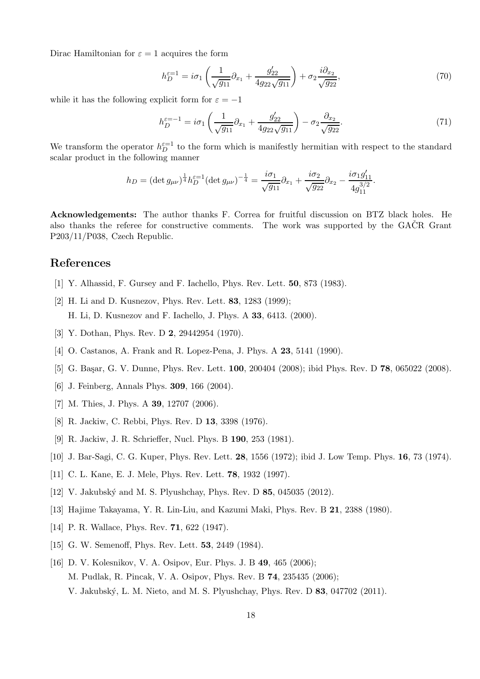Dirac Hamiltonian for  $\varepsilon = 1$  acquires the form

<span id="page-17-16"></span>
$$
h_D^{\varepsilon=1} = i\sigma_1 \left( \frac{1}{\sqrt{g_{11}}} \partial_{x_1} + \frac{g_{22}'}{4g_{22}\sqrt{g_{11}}} \right) + \sigma_2 \frac{i\partial_{x_2}}{\sqrt{g_{22}}},\tag{70}
$$

while it has the following explicit form for  $\varepsilon = -1$ 

<span id="page-17-17"></span>
$$
h_D^{\varepsilon=-1} = i\sigma_1 \left( \frac{1}{\sqrt{g_{11}}} \partial_{x_1} + \frac{g'_{22}}{4g_{22}\sqrt{g_{11}}} \right) - \sigma_2 \frac{\partial_{x_2}}{\sqrt{g_{22}}}.
$$
 (71)

.

We transform the operator  $h_D^{\epsilon=1}$  to the form which is manifestly hermitian with respect to the standard scalar product in the following manner

$$
h_D = (\det g_{\mu\nu})^{\frac{1}{4}} h_D^{\varepsilon=1} (\det g_{\mu\nu})^{-\frac{1}{4}} = \frac{i\sigma_1}{\sqrt{g_{11}}} \partial_{x_1} + \frac{i\sigma_2}{\sqrt{g_{22}}} \partial_{x_2} - \frac{i\sigma_1 g_{11}'}{4g_{11}^{3/2}}
$$

Acknowledgements: The author thanks F. Correa for fruitful discussion on BTZ black holes. He also thanks the referee for constructive comments. The work was supported by the  $GA\check{C}R$  Grant P203/11/P038, Czech Republic.

## <span id="page-17-0"></span>References

- <span id="page-17-1"></span>[1] Y. Alhassid, F. Gursey and F. Iachello, Phys. Rev. Lett. 50, 873 (1983).
- [2] H. Li and D. Kusnezov, Phys. Rev. Lett. **83**, 1283 (1999); H. Li, D. Kusnezov and F. Iachello, J. Phys. A 33, 6413. (2000).
- <span id="page-17-3"></span><span id="page-17-2"></span>[3] Y. Dothan, Phys. Rev. D **2**, 29442954 (1970).
- <span id="page-17-4"></span>[4] O. Castanos, A. Frank and R. Lopez-Pena, J. Phys. A **23**, 5141 (1990).
- <span id="page-17-5"></span>[5] G. Başar, G. V. Dunne, Phys. Rev. Lett. 100, 200404 (2008); ibid Phys. Rev. D 78, 065022 (2008).
- <span id="page-17-6"></span>[6] J. Feinberg, Annals Phys. 309, 166 (2004).
- <span id="page-17-7"></span>[7] M. Thies, J. Phys. A **39**, 12707 (2006).
- <span id="page-17-8"></span>[8] R. Jackiw, C. Rebbi, Phys. Rev. D 13, 3398 (1976).
- <span id="page-17-9"></span>[9] R. Jackiw, J. R. Schrieffer, Nucl. Phys. B 190, 253 (1981).
- <span id="page-17-10"></span>[10] J. Bar-Sagi, C. G. Kuper, Phys. Rev. Lett. 28, 1556 (1972); ibid J. Low Temp. Phys. 16, 73 (1974).
- <span id="page-17-11"></span>[11] C. L. Kane, E. J. Mele, Phys. Rev. Lett. 78, 1932 (1997).
- <span id="page-17-12"></span>[12] V. Jakubský and M. S. Plyushchay, Phys. Rev. D 85, 045035 (2012).
- <span id="page-17-13"></span>[13] Hajime Takayama, Y. R. Lin-Liu, and Kazumi Maki, Phys. Rev. B 21, 2388 (1980).
- <span id="page-17-14"></span>[14] P. R. Wallace, Phys. Rev. **71**, 622 (1947).
- <span id="page-17-15"></span>[15] G. W. Semenoff, Phys. Rev. Lett. **53**, 2449 (1984).
- [16] D. V. Kolesnikov, V. A. Osipov, Eur. Phys. J. B 49, 465 (2006); M. Pudlak, R. Pincak, V. A. Osipov, Phys. Rev. B 74, 235435 (2006); V. Jakubsk´y, L. M. Nieto, and M. S. Plyushchay, Phys. Rev. D 83, 047702 (2011).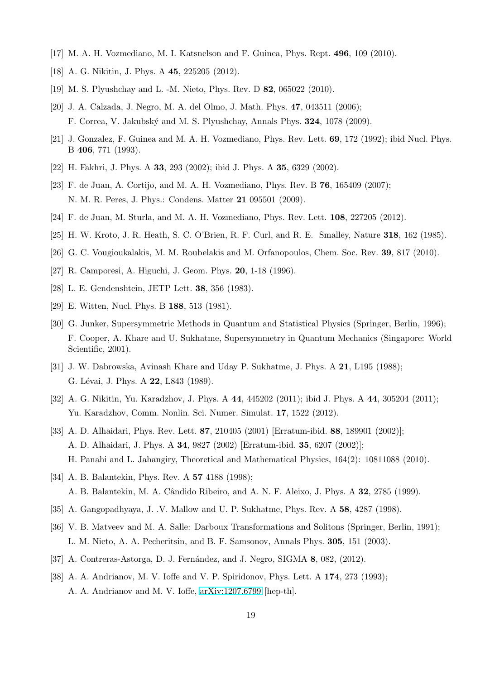- <span id="page-18-1"></span><span id="page-18-0"></span>[17] M. A. H. Vozmediano, M. I. Katsnelson and F. Guinea, Phys. Rept. 496, 109 (2010).
- <span id="page-18-6"></span>[18] A. G. Nikitin, J. Phys. A 45, 225205 (2012).
- <span id="page-18-2"></span>[19] M. S. Plyushchay and L. -M. Nieto, Phys. Rev. D 82, 065022 (2010).
- [20] J. A. Calzada, J. Negro, M. A. del Olmo, J. Math. Phys. 47, 043511 (2006); F. Correa, V. Jakubsk´y and M. S. Plyushchay, Annals Phys. 324, 1078 (2009).
- <span id="page-18-4"></span><span id="page-18-3"></span>[21] J. Gonzalez, F. Guinea and M. A. H. Vozmediano, Phys. Rev. Lett. 69, 172 (1992); ibid Nucl. Phys. B 406, 771 (1993).
- <span id="page-18-5"></span>[22] H. Fakhri, J. Phys. A 33, 293 (2002); ibid J. Phys. A 35, 6329 (2002).
- [23] F. de Juan, A. Cortijo, and M. A. H. Vozmediano, Phys. Rev. B 76, 165409 (2007); N. M. R. Peres, J. Phys.: Condens. Matter 21 095501 (2009).
- <span id="page-18-8"></span><span id="page-18-7"></span>[24] F. de Juan, M. Sturla, and M. A. H. Vozmediano, Phys. Rev. Lett. 108, 227205 (2012).
- <span id="page-18-9"></span>[25] H. W. Kroto, J. R. Heath, S. C. O'Brien, R. F. Curl, and R. E. Smalley, Nature 318, 162 (1985).
- <span id="page-18-10"></span>[26] G. C. Vougioukalakis, M. M. Roubelakis and M. Orfanopoulos, Chem. Soc. Rev. 39, 817 (2010).
- <span id="page-18-11"></span>[27] R. Camporesi, A. Higuchi, J. Geom. Phys. 20, 1-18 (1996).
- <span id="page-18-12"></span>[28] L. E. Gendenshtein, JETP Lett. 38, 356 (1983).
- <span id="page-18-13"></span>[29] E. Witten, Nucl. Phys. B 188, 513 (1981).
- [30] G. Junker, Supersymmetric Methods in Quantum and Statistical Physics (Springer, Berlin, 1996); F. Cooper, A. Khare and U. Sukhatme, Supersymmetry in Quantum Mechanics (Singapore: World Scientific, 2001).
- <span id="page-18-14"></span>[31] J. W. Dabrowska, Avinash Khare and Uday P. Sukhatme, J. Phys. A 21, L195 (1988); G. Lévai, J. Phys. A 22, L843 (1989).
- <span id="page-18-15"></span>[32] A. G. Nikitin, Yu. Karadzhov, J. Phys. A 44, 445202 (2011); ibid J. Phys. A 44, 305204 (2011); Yu. Karadzhov, Comm. Nonlin. Sci. Numer. Simulat. 17, 1522 (2012).
- <span id="page-18-16"></span>[33] A. D. Alhaidari, Phys. Rev. Lett. 87, 210405 (2001) [Erratum-ibid. 88, 189901 (2002)]; A. D. Alhaidari, J. Phys. A 34, 9827 (2002) [Erratum-ibid. 35, 6207 (2002)]; H. Panahi and L. Jahangiry, Theoretical and Mathematical Physics, 164(2): 10811088 (2010).
- <span id="page-18-17"></span>[34] A. B. Balantekin, Phys. Rev. A **57** 4188 (1998); A. B. Balantekin, M. A. Cândido Ribeiro, and A. N. F. Aleixo, J. Phys. A 32, 2785 (1999).
- <span id="page-18-19"></span><span id="page-18-18"></span>[35] A. Gangopadhyaya, J. .V. Mallow and U. P. Sukhatme, Phys. Rev. A 58, 4287 (1998).
- [36] V. B. Matveev and M. A. Salle: Darboux Transformations and Solitons (Springer, Berlin, 1991); L. M. Nieto, A. A. Pecheritsin, and B. F. Samsonov, Annals Phys. 305, 151 (2003).
- <span id="page-18-21"></span><span id="page-18-20"></span>[37] A. Contreras-Astorga, D. J. Fernández, and J. Negro, SIGMA 8, 082, (2012).
- [38] A. A. Andrianov, M. V. Ioffe and V. P. Spiridonov, Phys. Lett. A 174, 273 (1993); A. A. Andrianov and M. V. Ioffe, [arXiv:1207.6799](http://arxiv.org/abs/1207.6799) [hep-th].